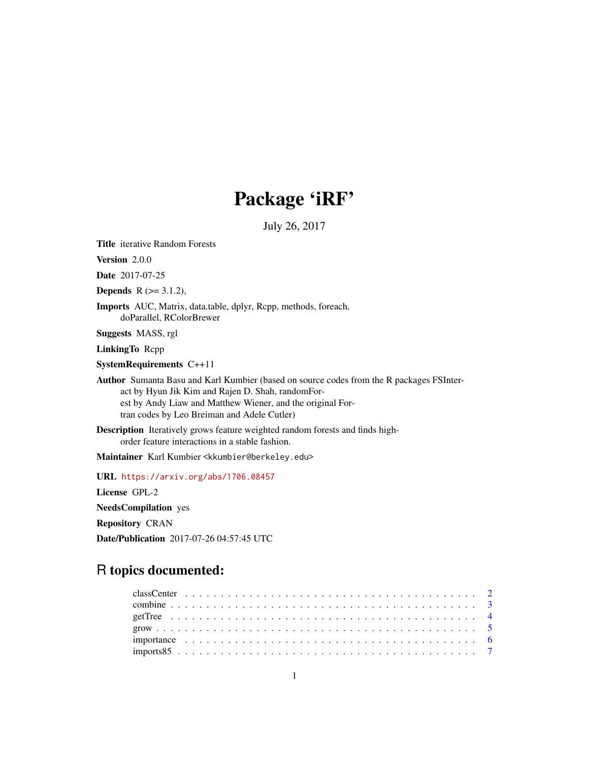## Package 'iRF'

July 26, 2017

<span id="page-0-0"></span>Title iterative Random Forests

Version 2.0.0

Date 2017-07-25

**Depends** R  $(>= 3.1.2)$ ,

Imports AUC, Matrix, data.table, dplyr, Rcpp, methods, foreach, doParallel, RColorBrewer

Suggests MASS, rgl

LinkingTo Rcpp

SystemRequirements C++11

Author Sumanta Basu and Karl Kumbier (based on source codes from the R packages FSInteract by Hyun Jik Kim and Rajen D. Shah, randomForest by Andy Liaw and Matthew Wiener, and the original Fortran codes by Leo Breiman and Adele Cutler)

Description Iteratively grows feature weighted random forests and finds highorder feature interactions in a stable fashion.

Maintainer Karl Kumbier <kkumbier@berkeley.edu>

URL <https://arxiv.org/abs/1706.08457>

License GPL-2

NeedsCompilation yes

Repository CRAN

Date/Publication 2017-07-26 04:57:45 UTC

## R topics documented: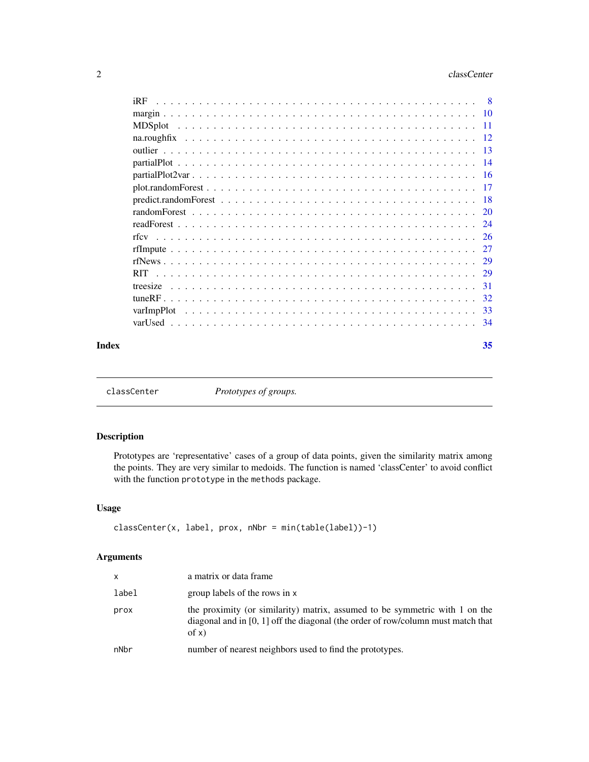<span id="page-1-0"></span>

| iRF                     | - 8 |
|-------------------------|-----|
| $\sqrt{10}$             |     |
| <b>MDSplot</b><br>$-11$ |     |
| - 12                    |     |
| -13                     |     |
|                         | -14 |
| - 16                    |     |
|                         | 17  |
|                         | -18 |
|                         | 20  |
|                         | -24 |
|                         | -26 |
|                         | 27  |
|                         | 29  |
| <b>RIT</b>              | 29  |
| -31<br>treesize         |     |
|                         | -32 |
| varImpPlot              | 33  |
|                         | -34 |
|                         |     |

#### **Index** [35](#page-34-0)

classCenter *Prototypes of groups.*

## Description

Prototypes are 'representative' cases of a group of data points, given the similarity matrix among the points. They are very similar to medoids. The function is named 'classCenter' to avoid conflict with the function prototype in the methods package.

## Usage

```
classCenter(x, label, prox, nNbr = min(table(label))-1)
```

| $\mathsf{x}$ | a matrix or data frame                                                                                                                                                       |
|--------------|------------------------------------------------------------------------------------------------------------------------------------------------------------------------------|
| label        | group labels of the rows in x                                                                                                                                                |
| prox         | the proximity (or similarity) matrix, assumed to be symmetric with 1 on the<br>diagonal and in $[0, 1]$ off the diagonal (the order of row/column must match that<br>of $x)$ |
| nNbr         | number of nearest neighbors used to find the prototypes.                                                                                                                     |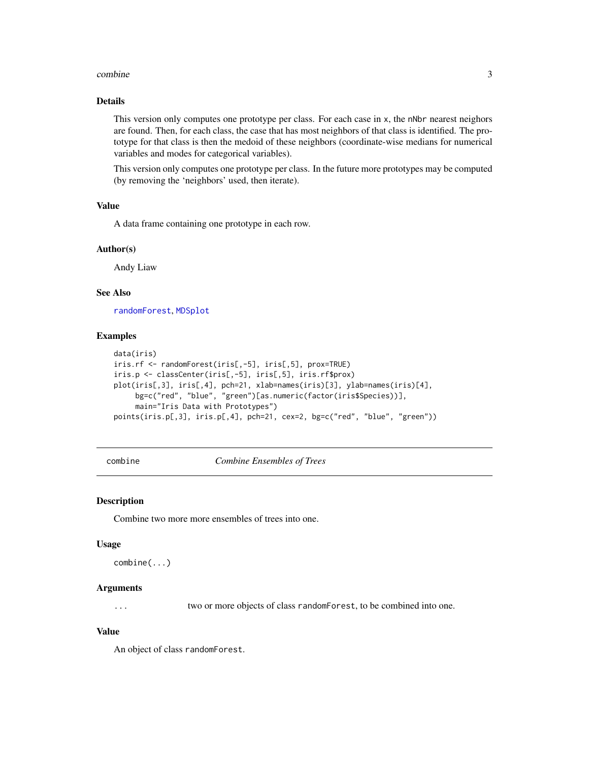#### <span id="page-2-0"></span>combine 3

## Details

This version only computes one prototype per class. For each case in x, the nNbr nearest neighors are found. Then, for each class, the case that has most neighbors of that class is identified. The prototype for that class is then the medoid of these neighbors (coordinate-wise medians for numerical variables and modes for categorical variables).

This version only computes one prototype per class. In the future more prototypes may be computed (by removing the 'neighbors' used, then iterate).

## Value

A data frame containing one prototype in each row.

## Author(s)

Andy Liaw

## See Also

[randomForest](#page-19-1), [MDSplot](#page-10-1)

#### Examples

```
data(iris)
iris.rf <- randomForest(iris[,-5], iris[,5], prox=TRUE)
iris.p <- classCenter(iris[,-5], iris[,5], iris.rf$prox)
plot(iris[,3], iris[,4], pch=21, xlab=names(iris)[3], ylab=names(iris)[4],
     bg=c("red", "blue", "green")[as.numeric(factor(iris$Species))],
     main="Iris Data with Prototypes")
points(iris.p[,3], iris.p[,4], pch=21, cex=2, bg=c("red", "blue", "green"))
```
<span id="page-2-1"></span>combine *Combine Ensembles of Trees*

#### Description

Combine two more more ensembles of trees into one.

## Usage

combine(...)

## Arguments

... two or more objects of class randomForest, to be combined into one.

## Value

An object of class randomForest.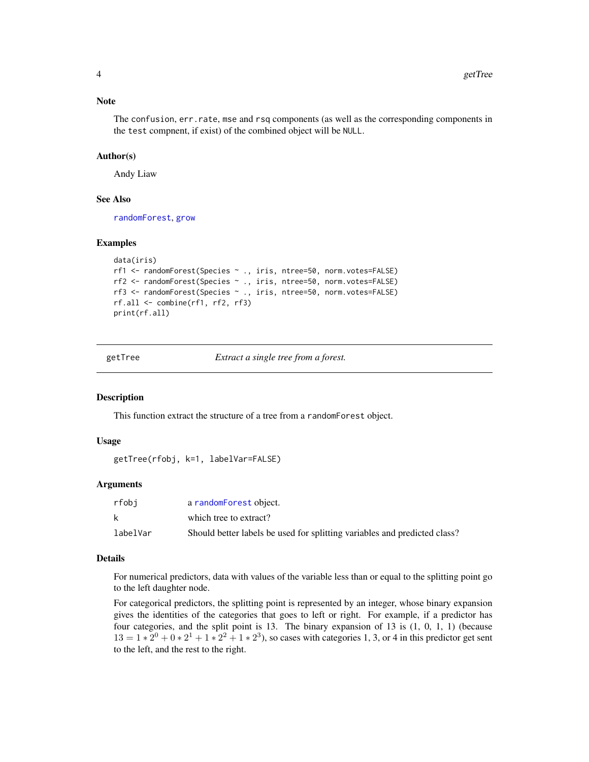#### <span id="page-3-0"></span>Note

The confusion, err.rate, mse and rsq components (as well as the corresponding components in the test compnent, if exist) of the combined object will be NULL.

#### Author(s)

Andy Liaw

#### See Also

[randomForest](#page-19-1), [grow](#page-4-1)

#### Examples

```
data(iris)
rf1 <- randomForest(Species ~ ., iris, ntree=50, norm.votes=FALSE)
rf2 <- randomForest(Species ~ ., iris, ntree=50, norm.votes=FALSE)
rf3 <- randomForest(Species ~ ., iris, ntree=50, norm.votes=FALSE)
rf.all <- combine(rf1, rf2, rf3)
print(rf.all)
```
<span id="page-3-1"></span>getTree *Extract a single tree from a forest.*

#### Description

This function extract the structure of a tree from a randomForest object.

#### Usage

```
getTree(rfobj, k=1, labelVar=FALSE)
```
## Arguments

| rfobi    | a randomForest object.                                                    |
|----------|---------------------------------------------------------------------------|
| k        | which tree to extract?                                                    |
| labelVar | Should better labels be used for splitting variables and predicted class? |

#### Details

For numerical predictors, data with values of the variable less than or equal to the splitting point go to the left daughter node.

For categorical predictors, the splitting point is represented by an integer, whose binary expansion gives the identities of the categories that goes to left or right. For example, if a predictor has four categories, and the split point is 13. The binary expansion of 13 is (1, 0, 1, 1) (because  $13 = 1 * 2^0 + 0 * 2^1 + 1 * 2^2 + 1 * 2^3$ , so cases with categories 1, 3, or 4 in this predictor get sent to the left, and the rest to the right.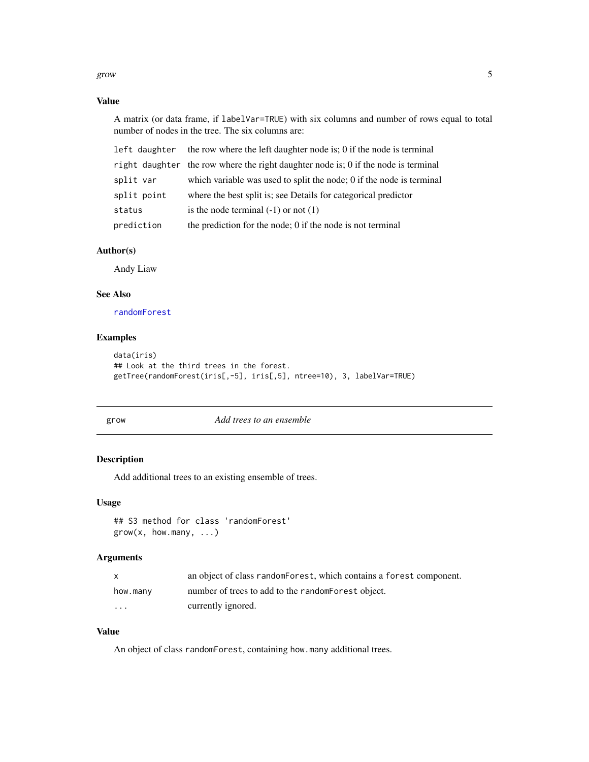<span id="page-4-0"></span>grow 5

## Value

A matrix (or data frame, if labelVar=TRUE) with six columns and number of rows equal to total number of nodes in the tree. The six columns are:

|             | left daughter the row where the left daughter node is; 0 if the node is terminal   |
|-------------|------------------------------------------------------------------------------------|
|             | right daughter the row where the right daughter node is; 0 if the node is terminal |
| split var   | which variable was used to split the node; $\theta$ if the node is terminal        |
| split point | where the best split is; see Details for categorical predictor                     |
| status      | is the node terminal $(-1)$ or not $(1)$                                           |
| prediction  | the prediction for the node; 0 if the node is not terminal                         |

## Author(s)

Andy Liaw

## See Also

[randomForest](#page-19-1)

## Examples

```
data(iris)
## Look at the third trees in the forest.
getTree(randomForest(iris[,-5], iris[,5], ntree=10), 3, labelVar=TRUE)
```
<span id="page-4-1"></span>grow *Add trees to an ensemble*

## Description

Add additional trees to an existing ensemble of trees.

## Usage

```
## S3 method for class 'randomForest'
grow(x, how.many, ...)
```
## Arguments

|          | an object of class random Forest, which contains a forest component. |
|----------|----------------------------------------------------------------------|
| how.many | number of trees to add to the random Forest object.                  |
| .        | currently ignored.                                                   |

## Value

An object of class randomForest, containing how.many additional trees.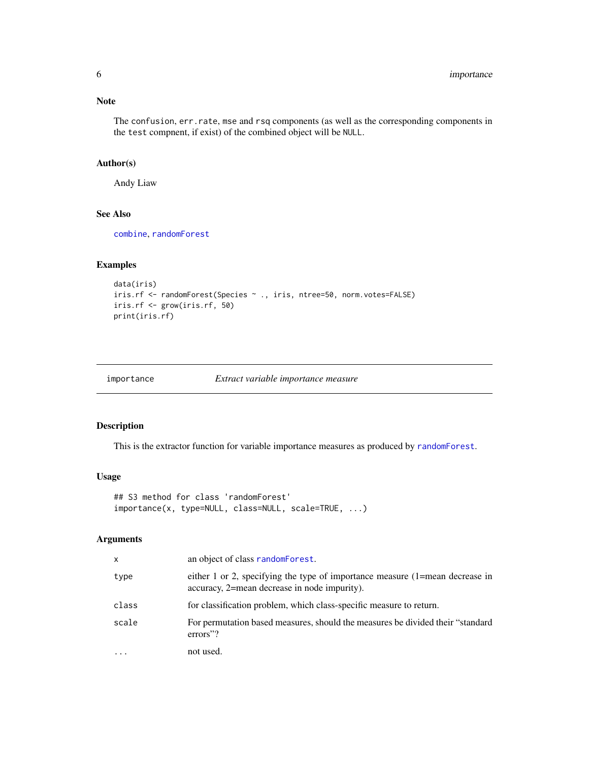## <span id="page-5-0"></span>Note

The confusion, err.rate, mse and rsq components (as well as the corresponding components in the test compnent, if exist) of the combined object will be NULL.

## Author(s)

Andy Liaw

## See Also

[combine](#page-2-1), [randomForest](#page-19-1)

## Examples

```
data(iris)
iris.rf <- randomForest(Species ~ ., iris, ntree=50, norm.votes=FALSE)
iris.rf <- grow(iris.rf, 50)
print(iris.rf)
```
<span id="page-5-1"></span>

importance *Extract variable importance measure*

## Description

This is the extractor function for variable importance measures as produced by [randomForest](#page-19-1).

## Usage

```
## S3 method for class 'randomForest'
importance(x, type=NULL, class=NULL, scale=TRUE, ...)
```

| $\mathsf{x}$ | an object of class random Forest.                                                                                                |
|--------------|----------------------------------------------------------------------------------------------------------------------------------|
| type         | either 1 or 2, specifying the type of importance measure $(1)$ =mean decrease in<br>accuracy, 2=mean decrease in node impurity). |
| class        | for classification problem, which class-specific measure to return.                                                              |
| scale        | For permutation based measures, should the measures be divided their "standard"<br>errors"?                                      |
| $\cdots$     | not used.                                                                                                                        |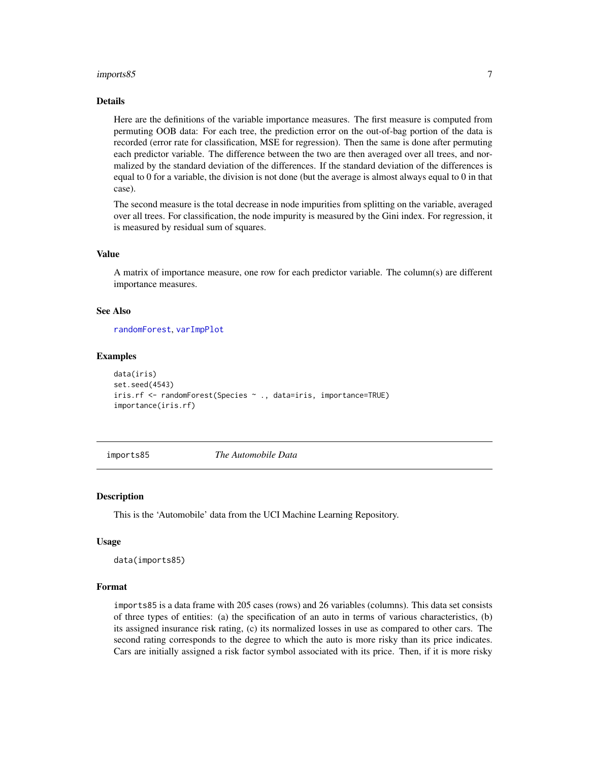#### <span id="page-6-0"></span>imports85 7

## Details

Here are the definitions of the variable importance measures. The first measure is computed from permuting OOB data: For each tree, the prediction error on the out-of-bag portion of the data is recorded (error rate for classification, MSE for regression). Then the same is done after permuting each predictor variable. The difference between the two are then averaged over all trees, and normalized by the standard deviation of the differences. If the standard deviation of the differences is equal to 0 for a variable, the division is not done (but the average is almost always equal to 0 in that case).

The second measure is the total decrease in node impurities from splitting on the variable, averaged over all trees. For classification, the node impurity is measured by the Gini index. For regression, it is measured by residual sum of squares.

## Value

A matrix of importance measure, one row for each predictor variable. The column(s) are different importance measures.

## See Also

[randomForest](#page-19-1), [varImpPlot](#page-32-1)

#### Examples

```
data(iris)
set.seed(4543)
iris.rf <- randomForest(Species ~ ., data=iris, importance=TRUE)
importance(iris.rf)
```
imports85 *The Automobile Data*

#### Description

This is the 'Automobile' data from the UCI Machine Learning Repository.

#### Usage

data(imports85)

## Format

imports85 is a data frame with 205 cases (rows) and 26 variables (columns). This data set consists of three types of entities: (a) the specification of an auto in terms of various characteristics, (b) its assigned insurance risk rating, (c) its normalized losses in use as compared to other cars. The second rating corresponds to the degree to which the auto is more risky than its price indicates. Cars are initially assigned a risk factor symbol associated with its price. Then, if it is more risky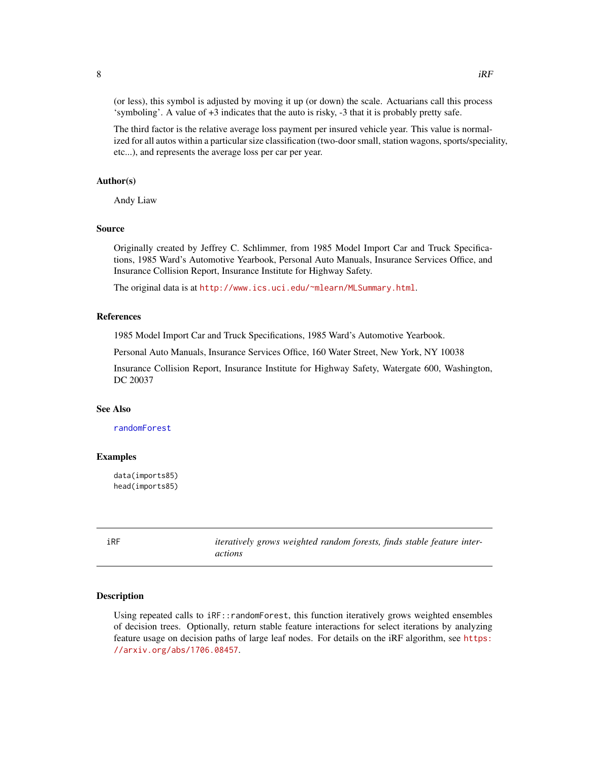<span id="page-7-0"></span>(or less), this symbol is adjusted by moving it up (or down) the scale. Actuarians call this process 'symboling'. A value of +3 indicates that the auto is risky, -3 that it is probably pretty safe.

The third factor is the relative average loss payment per insured vehicle year. This value is normalized for all autos within a particular size classification (two-door small, station wagons, sports/speciality, etc...), and represents the average loss per car per year.

#### Author(s)

Andy Liaw

## Source

Originally created by Jeffrey C. Schlimmer, from 1985 Model Import Car and Truck Specifications, 1985 Ward's Automotive Yearbook, Personal Auto Manuals, Insurance Services Office, and Insurance Collision Report, Insurance Institute for Highway Safety.

The original data is at <http://www.ics.uci.edu/~mlearn/MLSummary.html>.

#### References

1985 Model Import Car and Truck Specifications, 1985 Ward's Automotive Yearbook.

Personal Auto Manuals, Insurance Services Office, 160 Water Street, New York, NY 10038

Insurance Collision Report, Insurance Institute for Highway Safety, Watergate 600, Washington, DC 20037

## See Also

[randomForest](#page-19-1)

#### Examples

data(imports85) head(imports85)

iRF *iteratively grows weighted random forests, finds stable feature interactions*

## Description

Using repeated calls to iRF::randomForest, this function iteratively grows weighted ensembles of decision trees. Optionally, return stable feature interactions for select iterations by analyzing feature usage on decision paths of large leaf nodes. For details on the iRF algorithm, see [https:](https://arxiv.org/abs/1706.08457) [//arxiv.org/abs/1706.08457](https://arxiv.org/abs/1706.08457).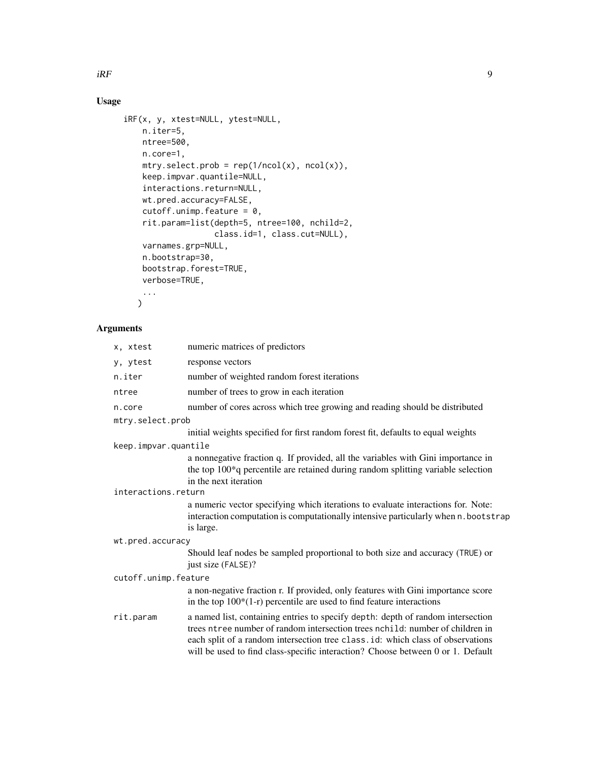## Usage

```
iRF(x, y, xtest=NULL, ytest=NULL,
   n.iter=5,
   ntree=500,
   n.core=1,
   mtry.setect.prob = rep(1/ncol(x), ncol(x)),keep.impvar.quantile=NULL,
    interactions.return=NULL,
   wt.pred.accuracy=FALSE,
   cutoff.unimp.feature = 0,
   rit.param=list(depth=5, ntree=100, nchild=2,
                   class.id=1, class.cut=NULL),
   varnames.grp=NULL,
   n.bootstrap=30,
   bootstrap.forest=TRUE,
   verbose=TRUE,
    ...
   \mathcal{L}
```

| x, xtest             | numeric matrices of predictors                                                                                                                                                                                                                                                                                                        |
|----------------------|---------------------------------------------------------------------------------------------------------------------------------------------------------------------------------------------------------------------------------------------------------------------------------------------------------------------------------------|
| y, ytest             | response vectors                                                                                                                                                                                                                                                                                                                      |
| n.iter               | number of weighted random forest iterations                                                                                                                                                                                                                                                                                           |
| ntree                | number of trees to grow in each iteration                                                                                                                                                                                                                                                                                             |
| n.core               | number of cores across which tree growing and reading should be distributed                                                                                                                                                                                                                                                           |
| mtry.select.prob     |                                                                                                                                                                                                                                                                                                                                       |
|                      | initial weights specified for first random forest fit, defaults to equal weights                                                                                                                                                                                                                                                      |
| keep.impvar.quantile |                                                                                                                                                                                                                                                                                                                                       |
|                      | a nonnegative fraction q. If provided, all the variables with Gini importance in<br>the top 100 <sup>*</sup> q percentile are retained during random splitting variable selection<br>in the next iteration                                                                                                                            |
| interactions.return  |                                                                                                                                                                                                                                                                                                                                       |
|                      | a numeric vector specifying which iterations to evaluate interactions for. Note:<br>interaction computation is computationally intensive particularly when n. bootstrap<br>is large.                                                                                                                                                  |
| wt.pred.accuracy     |                                                                                                                                                                                                                                                                                                                                       |
|                      | Should leaf nodes be sampled proportional to both size and accuracy (TRUE) or<br>just size (FALSE)?                                                                                                                                                                                                                                   |
| cutoff.unimp.feature |                                                                                                                                                                                                                                                                                                                                       |
|                      | a non-negative fraction r. If provided, only features with Gini importance score<br>in the top $100*(1-r)$ percentile are used to find feature interactions                                                                                                                                                                           |
| rit.param            | a named list, containing entries to specify depth: depth of random intersection<br>trees ntree number of random intersection trees nchild: number of children in<br>each split of a random intersection tree class.id: which class of observations<br>will be used to find class-specific interaction? Choose between 0 or 1. Default |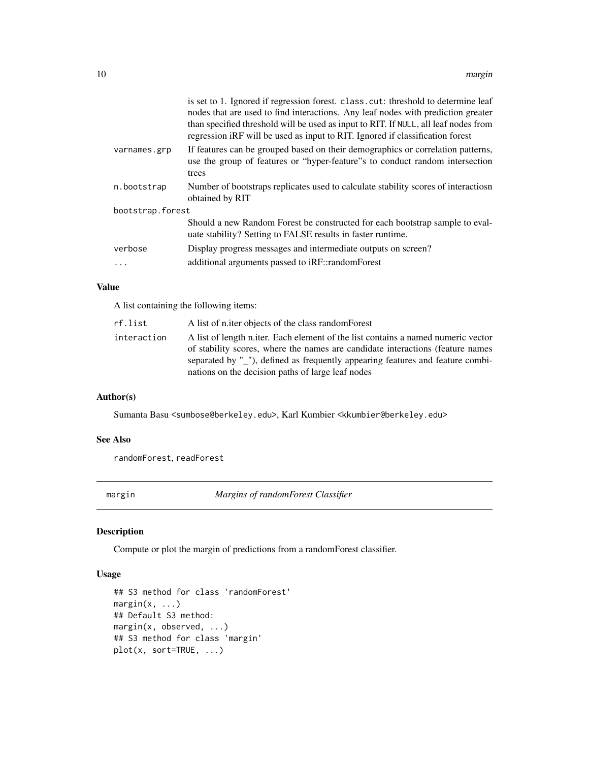<span id="page-9-0"></span>

|                  | is set to 1. Ignored if regression forest. class.cut: threshold to determine leaf<br>nodes that are used to find interactions. Any leaf nodes with prediction greater<br>than specified threshold will be used as input to RIT. If NULL, all leaf nodes from<br>regression iRF will be used as input to RIT. Ignored if classification forest |  |
|------------------|-----------------------------------------------------------------------------------------------------------------------------------------------------------------------------------------------------------------------------------------------------------------------------------------------------------------------------------------------|--|
| varnames.grp     | If features can be grouped based on their demographics or correlation patterns,<br>use the group of features or "hyper-feature" sto conduct random intersection<br>trees                                                                                                                                                                      |  |
| n.bootstrap      | Number of bootstraps replicates used to calculate stability scores of interactiosn<br>obtained by RIT                                                                                                                                                                                                                                         |  |
| bootstrap.forest |                                                                                                                                                                                                                                                                                                                                               |  |
|                  | Should a new Random Forest be constructed for each bootstrap sample to eval-<br>uate stability? Setting to FALSE results in faster runtime.                                                                                                                                                                                                   |  |
| verbose          | Display progress messages and intermediate outputs on screen?                                                                                                                                                                                                                                                                                 |  |
| $\ddotsc$        | additional arguments passed to iRF::randomForest                                                                                                                                                                                                                                                                                              |  |

#### Value

A list containing the following items:

| rf.list     | A list of n. iter objects of the class random Forest                                                                                                                                                                                                                                                       |
|-------------|------------------------------------------------------------------------------------------------------------------------------------------------------------------------------------------------------------------------------------------------------------------------------------------------------------|
| interaction | A list of length n.iter. Each element of the list contains a named numeric vector<br>of stability scores, where the names are candidate interactions (feature names<br>separated by "_"), defined as frequently appearing features and feature combi-<br>nations on the decision paths of large leaf nodes |
|             |                                                                                                                                                                                                                                                                                                            |

## Author(s)

Sumanta Basu <sumbose@berkeley.edu>, Karl Kumbier <kkumbier@berkeley.edu>

## See Also

randomForest, readForest

margin *Margins of randomForest Classifier*

## Description

Compute or plot the margin of predictions from a randomForest classifier.

## Usage

```
## S3 method for class 'randomForest'
margin(x, \ldots)## Default S3 method:
margin(x, observed, ...)
## S3 method for class 'margin'
plot(x, sort=TRUE, ...)
```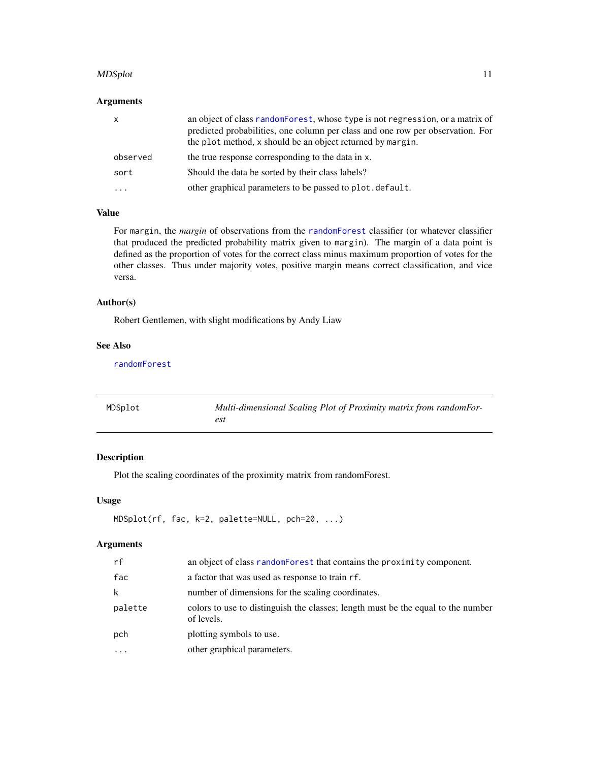#### <span id="page-10-0"></span>MDSplot that the contract of the contract of the contract of the contract of the contract of the contract of the contract of the contract of the contract of the contract of the contract of the contract of the contract of t

## Arguments

| $\mathsf{x}$ | an object of class random Forest, whose type is not regression, or a matrix of<br>predicted probabilities, one column per class and one row per observation. For<br>the plot method, x should be an object returned by margin. |
|--------------|--------------------------------------------------------------------------------------------------------------------------------------------------------------------------------------------------------------------------------|
| observed     | the true response corresponding to the data in x.                                                                                                                                                                              |
| sort         | Should the data be sorted by their class labels?                                                                                                                                                                               |
| .            | other graphical parameters to be passed to plot. default.                                                                                                                                                                      |

## Value

For margin, the *margin* of observations from the [randomForest](#page-19-1) classifier (or whatever classifier that produced the predicted probability matrix given to margin). The margin of a data point is defined as the proportion of votes for the correct class minus maximum proportion of votes for the other classes. Thus under majority votes, positive margin means correct classification, and vice versa.

## Author(s)

Robert Gentlemen, with slight modifications by Andy Liaw

## See Also

[randomForest](#page-19-1)

<span id="page-10-1"></span>

| MDSplot | Multi-dimensional Scaling Plot of Proximity matrix from randomFor- |
|---------|--------------------------------------------------------------------|
|         | est                                                                |

## Description

Plot the scaling coordinates of the proximity matrix from randomForest.

#### Usage

```
MDSplot(rf, fac, k=2, palette=NULL, pch=20, ...)
```

| rf        | an object of class random Forest that contains the proximity component.                        |
|-----------|------------------------------------------------------------------------------------------------|
| fac       | a factor that was used as response to train rf.                                                |
| k         | number of dimensions for the scaling coordinates.                                              |
| palette   | colors to use to distinguish the classes; length must be the equal to the number<br>of levels. |
| pch       | plotting symbols to use.                                                                       |
| $\ddotsc$ | other graphical parameters.                                                                    |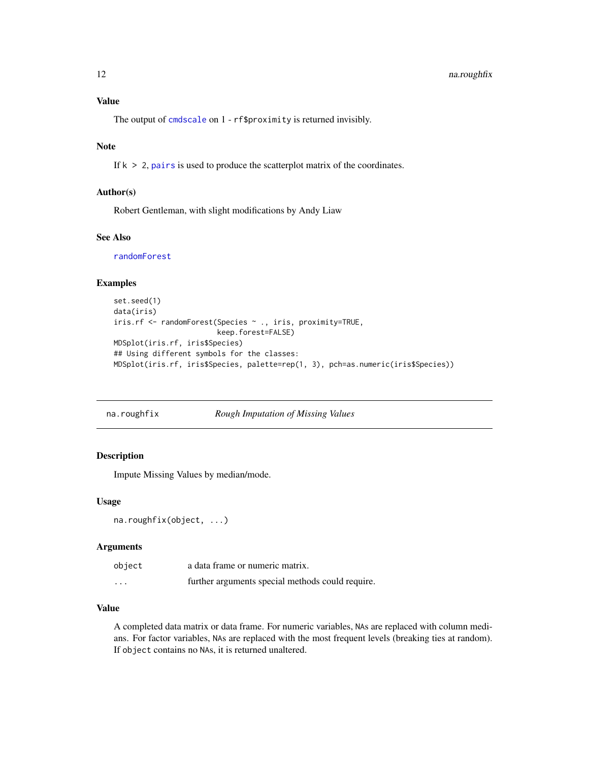#### <span id="page-11-0"></span>Value

The output of [cmdscale](#page-0-0) on 1 - rf\$proximity is returned invisibly.

#### Note

If  $k > 2$ , [pairs](#page-0-0) is used to produce the scatterplot matrix of the coordinates.

## Author(s)

Robert Gentleman, with slight modifications by Andy Liaw

## See Also

[randomForest](#page-19-1)

## Examples

```
set.seed(1)
data(iris)
iris.rf <- randomForest(Species ~ ., iris, proximity=TRUE,
                        keep.forest=FALSE)
MDSplot(iris.rf, iris$Species)
## Using different symbols for the classes:
MDSplot(iris.rf, iris$Species, palette=rep(1, 3), pch=as.numeric(iris$Species))
```
<span id="page-11-1"></span>

| na.roughfix | <b>Rough Imputation of Missing Values</b> |  |  |
|-------------|-------------------------------------------|--|--|
|             |                                           |  |  |

## Description

Impute Missing Values by median/mode.

#### Usage

```
na.roughfix(object, ...)
```
## Arguments

| object   | a data frame or numeric matrix.                  |
|----------|--------------------------------------------------|
| $\cdots$ | further arguments special methods could require. |

## Value

A completed data matrix or data frame. For numeric variables, NAs are replaced with column medians. For factor variables, NAs are replaced with the most frequent levels (breaking ties at random). If object contains no NAs, it is returned unaltered.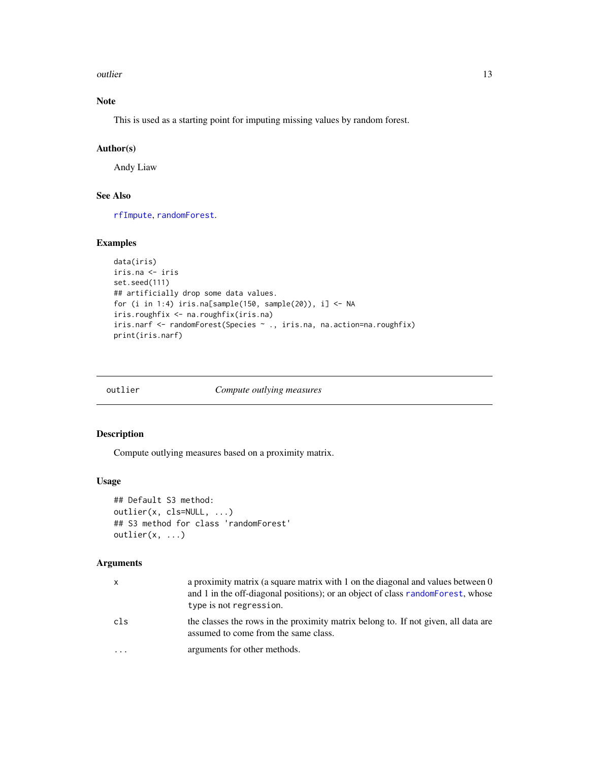<span id="page-12-0"></span>outlier that the contract of the contract of the contract of the contract of the contract of the contract of the contract of the contract of the contract of the contract of the contract of the contract of the contract of t

## Note

This is used as a starting point for imputing missing values by random forest.

## Author(s)

Andy Liaw

## See Also

[rfImpute](#page-26-1), [randomForest](#page-19-1).

## Examples

```
data(iris)
iris.na <- iris
set.seed(111)
## artificially drop some data values.
for (i in 1:4) iris.na[sample(150, sample(20)), i] \leq NA
iris.roughfix <- na.roughfix(iris.na)
iris.narf <- randomForest(Species ~ ., iris.na, na.action=na.roughfix)
print(iris.narf)
```
outlier *Compute outlying measures*

## Description

Compute outlying measures based on a proximity matrix.

## Usage

```
## Default S3 method:
outlier(x, cls=NULL, ...)
## S3 method for class 'randomForest'
outlier(x, ...)
```

| x   | a proximity matrix (a square matrix with 1 on the diagonal and values between 0<br>and 1 in the off-diagonal positions); or an object of class random Forest, whose<br>type is not regression. |
|-----|------------------------------------------------------------------------------------------------------------------------------------------------------------------------------------------------|
| cls | the classes the rows in the proximity matrix belong to. If not given, all data are<br>assumed to come from the same class.                                                                     |
| .   | arguments for other methods.                                                                                                                                                                   |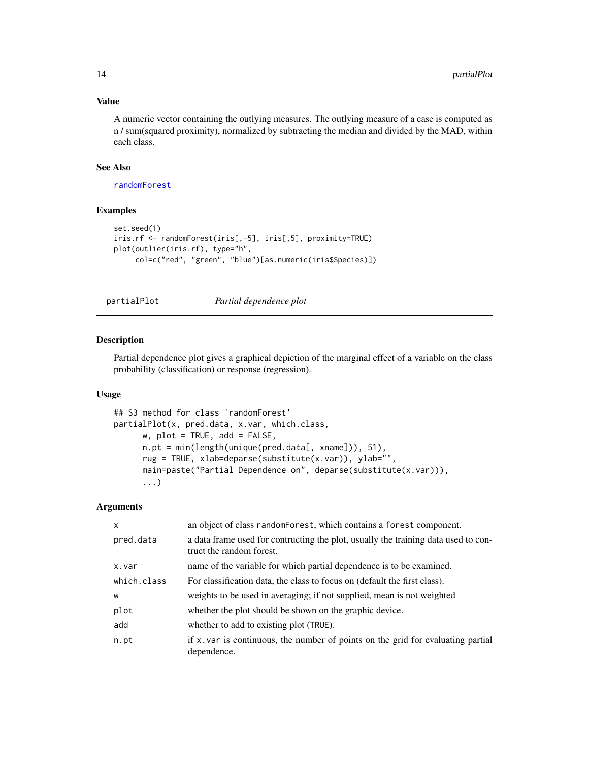## Value

A numeric vector containing the outlying measures. The outlying measure of a case is computed as n / sum(squared proximity), normalized by subtracting the median and divided by the MAD, within each class.

### See Also

[randomForest](#page-19-1)

## Examples

```
set.seed(1)
iris.rf <- randomForest(iris[,-5], iris[,5], proximity=TRUE)
plot(outlier(iris.rf), type="h",
     col=c("red", "green", "blue")[as.numeric(iris$Species)])
```
partialPlot *Partial dependence plot*

#### Description

Partial dependence plot gives a graphical depiction of the marginal effect of a variable on the class probability (classification) or response (regression).

## Usage

```
## S3 method for class 'randomForest'
partialPlot(x, pred.data, x.var, which.class,
      w, plot = TRUE, add = FALSE,
      n.pt = min(length(unique(pred.data[, xname])), 51),
      rug = TRUE, xlab=deparse(substitute(x.var)), ylab="",
      main=paste("Partial Dependence on", deparse(substitute(x.var))),
      ...)
```

| x           | an object of class random Forest, which contains a forest component.                                           |
|-------------|----------------------------------------------------------------------------------------------------------------|
| pred.data   | a data frame used for contructing the plot, usually the training data used to con-<br>truct the random forest. |
| x.var       | name of the variable for which partial dependence is to be examined.                                           |
| which.class | For classification data, the class to focus on (default the first class).                                      |
| W           | weights to be used in averaging; if not supplied, mean is not weighted                                         |
| plot        | whether the plot should be shown on the graphic device.                                                        |
| add         | whether to add to existing plot (TRUE).                                                                        |
| n.pt        | if x, var is continuous, the number of points on the grid for evaluating partial<br>dependence.                |

<span id="page-13-0"></span>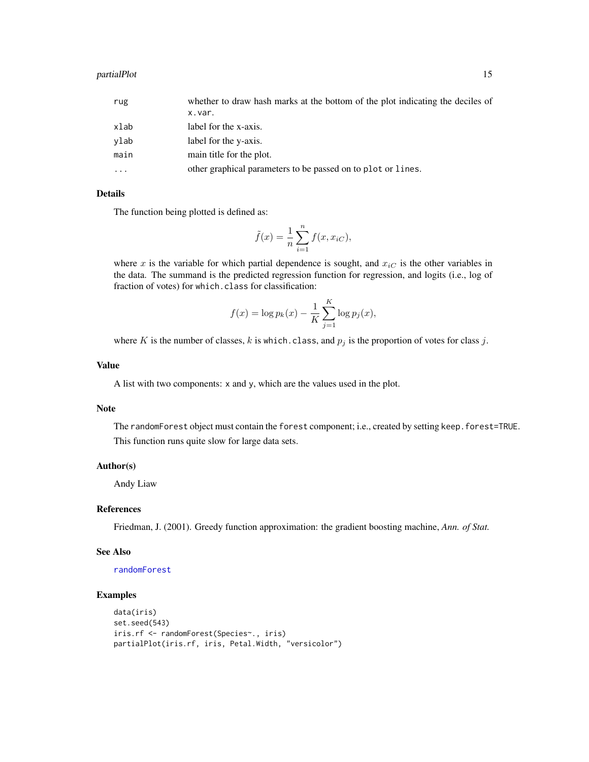#### <span id="page-14-0"></span>partialPlot the contract of the contract of the contract of the contract of the contract of the contract of the contract of the contract of the contract of the contract of the contract of the contract of the contract of th

| rug  | whether to draw hash marks at the bottom of the plot indicating the deciles of |
|------|--------------------------------------------------------------------------------|
|      | x.var.                                                                         |
| xlab | label for the x-axis.                                                          |
| vlab | label for the y-axis.                                                          |
| main | main title for the plot.                                                       |
| .    | other graphical parameters to be passed on to plot or lines.                   |

## Details

The function being plotted is defined as:

$$
\tilde{f}(x) = \frac{1}{n} \sum_{i=1}^{n} f(x, x_{iC}),
$$

where x is the variable for which partial dependence is sought, and  $x_{iC}$  is the other variables in the data. The summand is the predicted regression function for regression, and logits (i.e., log of fraction of votes) for which.class for classification:

$$
f(x) = \log p_k(x) - \frac{1}{K} \sum_{j=1}^{K} \log p_j(x),
$$

where K is the number of classes, k is which.class, and  $p_i$  is the proportion of votes for class j.

## Value

A list with two components: x and y, which are the values used in the plot.

#### Note

The randomForest object must contain the forest component; i.e., created by setting keep.forest=TRUE. This function runs quite slow for large data sets.

## Author(s)

Andy Liaw

## References

Friedman, J. (2001). Greedy function approximation: the gradient boosting machine, *Ann. of Stat.*

## See Also

[randomForest](#page-19-1)

```
data(iris)
set.seed(543)
iris.rf <- randomForest(Species~., iris)
partialPlot(iris.rf, iris, Petal.Width, "versicolor")
```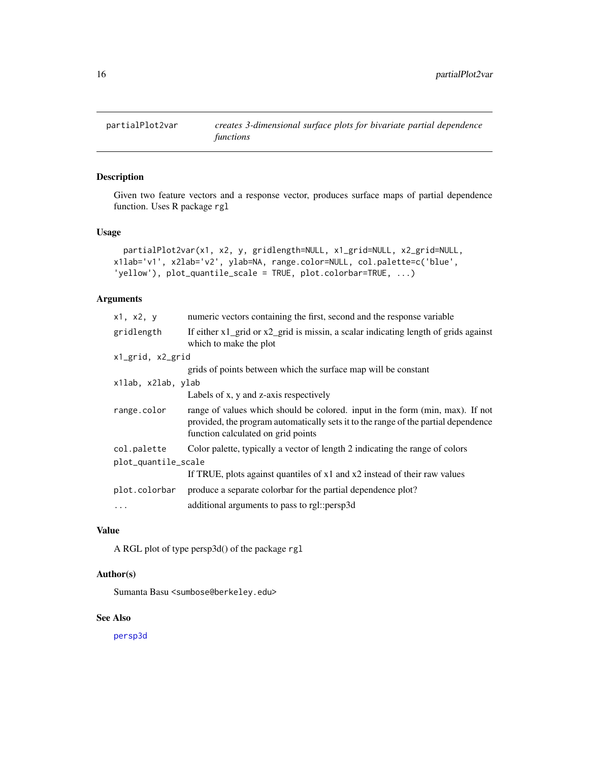<span id="page-15-0"></span>

## Description

Given two feature vectors and a response vector, produces surface maps of partial dependence function. Uses R package rgl

## Usage

```
partialPlot2var(x1, x2, y, gridlength=NULL, x1_grid=NULL, x2_grid=NULL,
x1lab='v1', x2lab='v2', ylab=NA, range.color=NULL, col.palette=c('blue',
'yellow'), plot_quantile_scale = TRUE, plot.colorbar=TRUE, ...)
```
## Arguments

| x1, x2, y           | numeric vectors containing the first, second and the response variable                                                                                                                                    |  |
|---------------------|-----------------------------------------------------------------------------------------------------------------------------------------------------------------------------------------------------------|--|
| gridlength          | If either $x1$ grid or $x2$ grid is missin, a scalar indicating length of grids against<br>which to make the plot                                                                                         |  |
| x1_grid, x2_grid    |                                                                                                                                                                                                           |  |
|                     | grids of points between which the surface map will be constant                                                                                                                                            |  |
| x1lab, x2lab, ylab  |                                                                                                                                                                                                           |  |
|                     | Labels of x, y and z-axis respectively                                                                                                                                                                    |  |
| range.color         | range of values which should be colored, input in the form (min, max). If not<br>provided, the program automatically sets it to the range of the partial dependence<br>function calculated on grid points |  |
| col.palette         | Color palette, typically a vector of length 2 indicating the range of colors                                                                                                                              |  |
| plot_quantile_scale |                                                                                                                                                                                                           |  |
|                     | If TRUE, plots against quantiles of x1 and x2 instead of their raw values                                                                                                                                 |  |
| plot.colorbar       | produce a separate colorbar for the partial dependence plot?                                                                                                                                              |  |
| $\cdots$            | additional arguments to pass to rgl::persp3d                                                                                                                                                              |  |
|                     |                                                                                                                                                                                                           |  |

## Value

A RGL plot of type persp3d() of the package rgl

## Author(s)

Sumanta Basu <sumbose@berkeley.edu>

#### See Also

[persp3d](#page-0-0)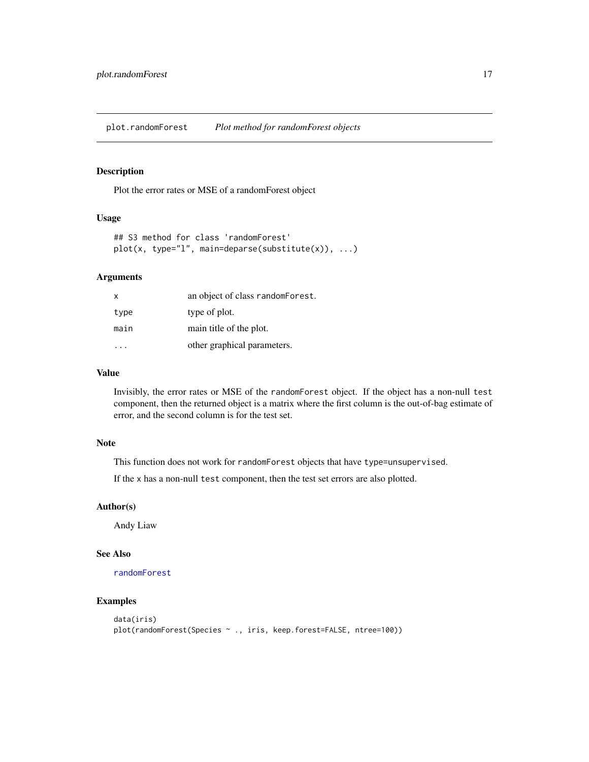<span id="page-16-0"></span>plot.randomForest *Plot method for randomForest objects*

## Description

Plot the error rates or MSE of a randomForest object

#### Usage

```
## S3 method for class 'randomForest'
plot(x, type="l", main=deparse(substitute(x)), ...)
```
## Arguments

| $\mathsf{x}$ | an object of class random Forest. |
|--------------|-----------------------------------|
| type         | type of plot.                     |
| main         | main title of the plot.           |
|              | other graphical parameters.       |

#### Value

Invisibly, the error rates or MSE of the randomForest object. If the object has a non-null test component, then the returned object is a matrix where the first column is the out-of-bag estimate of error, and the second column is for the test set.

## Note

This function does not work for randomForest objects that have type=unsupervised.

If the x has a non-null test component, then the test set errors are also plotted.

## Author(s)

Andy Liaw

### See Also

[randomForest](#page-19-1)

```
data(iris)
plot(randomForest(Species ~ ., iris, keep.forest=FALSE, ntree=100))
```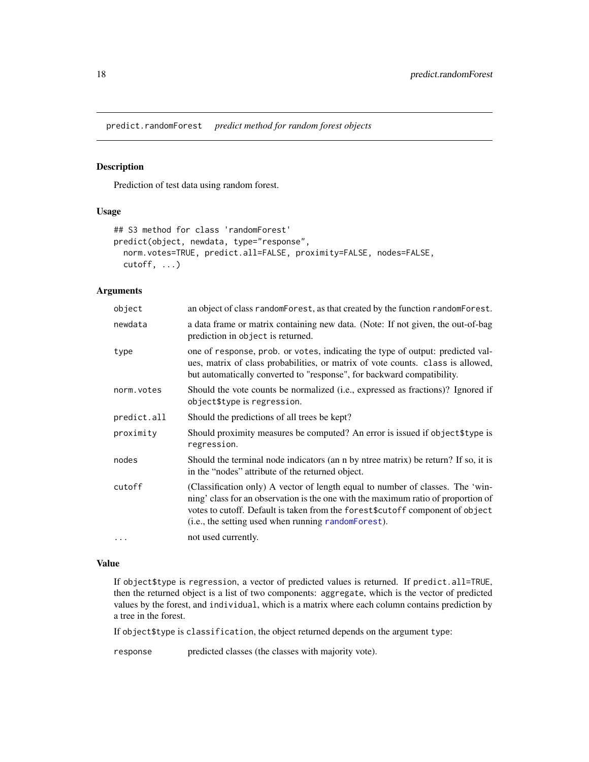<span id="page-17-1"></span><span id="page-17-0"></span>predict.randomForest *predict method for random forest objects*

### Description

Prediction of test data using random forest.

## Usage

```
## S3 method for class 'randomForest'
predict(object, newdata, type="response",
  norm.votes=TRUE, predict.all=FALSE, proximity=FALSE, nodes=FALSE,
  cutoff, ...)
```
## Arguments

| object      | an object of class random Forest, as that created by the function random Forest.                                                                                                                                                                                                                              |
|-------------|---------------------------------------------------------------------------------------------------------------------------------------------------------------------------------------------------------------------------------------------------------------------------------------------------------------|
| newdata     | a data frame or matrix containing new data. (Note: If not given, the out-of-bag<br>prediction in object is returned.                                                                                                                                                                                          |
| type        | one of response, prob. or votes, indicating the type of output: predicted val-<br>ues, matrix of class probabilities, or matrix of vote counts. class is allowed,<br>but automatically converted to "response", for backward compatibility.                                                                   |
| norm.votes  | Should the vote counts be normalized (i.e., expressed as fractions)? Ignored if<br>object\$type is regression.                                                                                                                                                                                                |
| predict.all | Should the predictions of all trees be kept?                                                                                                                                                                                                                                                                  |
| proximity   | Should proximity measures be computed? An error is issued if object \$type is<br>regression.                                                                                                                                                                                                                  |
| nodes       | Should the terminal node indicators (an n by ntree matrix) be return? If so, it is<br>in the "nodes" attribute of the returned object.                                                                                                                                                                        |
| cutoff      | (Classification only) A vector of length equal to number of classes. The 'win-<br>ning' class for an observation is the one with the maximum ratio of proportion of<br>votes to cutoff. Default is taken from the forest \$cutoff component of object<br>(i.e., the setting used when running random Forest). |
| .           | not used currently.                                                                                                                                                                                                                                                                                           |

#### Value

If object\$type is regression, a vector of predicted values is returned. If predict.all=TRUE, then the returned object is a list of two components: aggregate, which is the vector of predicted values by the forest, and individual, which is a matrix where each column contains prediction by a tree in the forest.

If object\$type is classification, the object returned depends on the argument type:

response predicted classes (the classes with majority vote).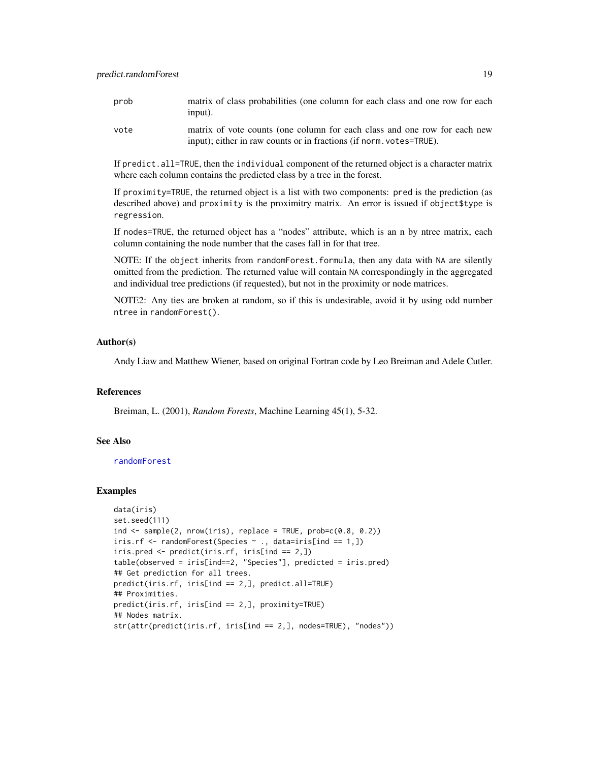<span id="page-18-0"></span>

| prob | matrix of class probabilities (one column for each class and one row for each<br>input).                                                         |
|------|--------------------------------------------------------------------------------------------------------------------------------------------------|
| vote | matrix of vote counts (one column for each class and one row for each new<br>input); either in raw counts or in fractions (if norm. votes=TRUE). |

If predict.all=TRUE, then the individual component of the returned object is a character matrix where each column contains the predicted class by a tree in the forest.

If proximity=TRUE, the returned object is a list with two components: pred is the prediction (as described above) and proximity is the proximitry matrix. An error is issued if object\$type is regression.

If nodes=TRUE, the returned object has a "nodes" attribute, which is an n by ntree matrix, each column containing the node number that the cases fall in for that tree.

NOTE: If the object inherits from randomForest.formula, then any data with NA are silently omitted from the prediction. The returned value will contain NA correspondingly in the aggregated and individual tree predictions (if requested), but not in the proximity or node matrices.

NOTE2: Any ties are broken at random, so if this is undesirable, avoid it by using odd number ntree in randomForest().

#### Author(s)

Andy Liaw and Matthew Wiener, based on original Fortran code by Leo Breiman and Adele Cutler.

## References

Breiman, L. (2001), *Random Forests*, Machine Learning 45(1), 5-32.

## See Also

[randomForest](#page-19-1)

```
data(iris)
set.seed(111)
ind \leq sample(2, nrow(iris), replace = TRUE, prob=c(0.8, 0.2))
iris.rf \leq randomForest(Species \sim ., data=iris[ind == 1,])
iris.pred <- predict(iris.rf, iris[ind == 2,])
table(observed = iris[ind==2, "Species"], predicted = iris.pred)
## Get prediction for all trees.
predict(iris.rf, iris[ind == 2,], predict.all=TRUE)
## Proximities.
predict(iris.rf, iris[ind == 2,], proximity=TRUE)
## Nodes matrix.
str(attr(predict(iris.rf, iris[ind == 2,], nodes=TRUE), "nodes"))
```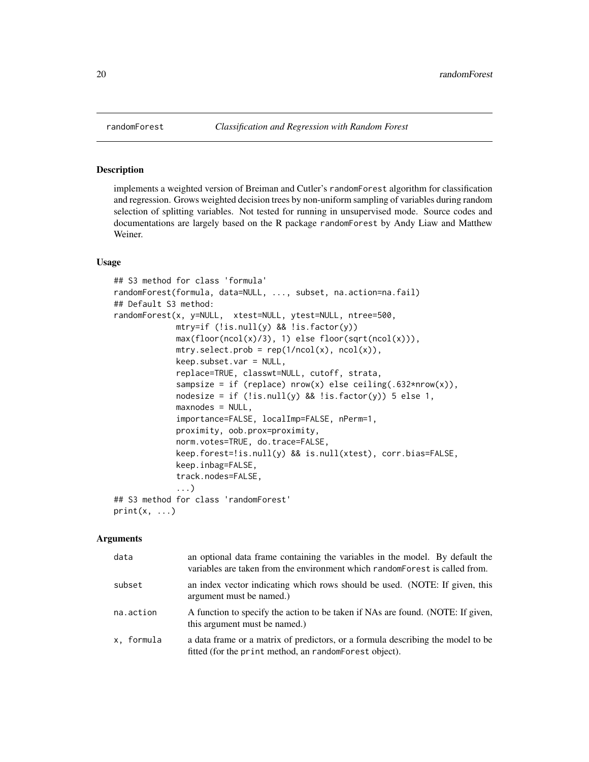#### Description

implements a weighted version of Breiman and Cutler's randomForest algorithm for classification and regression. Grows weighted decision trees by non-uniform sampling of variables during random selection of splitting variables. Not tested for running in unsupervised mode. Source codes and documentations are largely based on the R package randomForest by Andy Liaw and Matthew Weiner.

### Usage

```
## S3 method for class 'formula'
randomForest(formula, data=NULL, ..., subset, na.action=na.fail)
## Default S3 method:
randomForest(x, y=NULL, xtest=NULL, ytest=NULL, ntree=500,
             mtry=if (!is.null(y) && !is.factor(y))
             max(floor(ncol(x)/3), 1) else floor(sqrt(ncol(x))),
             mtry.setect.prob = rep(1/ncol(x), ncol(x)),keep.subset.var = NULL,
             replace=TRUE, classwt=NULL, cutoff, strata,
             sampsize = if (replace) nrow(x) else ceiling(.632*nrow(x)),
             nodesize = if (!is.null(y) && !is.factor(y)) 5 else 1,
             maxnodes = NULL,
             importance=FALSE, localImp=FALSE, nPerm=1,
             proximity, oob.prox=proximity,
             norm.votes=TRUE, do.trace=FALSE,
             keep.forest=!is.null(y) && is.null(xtest), corr.bias=FALSE,
             keep.inbag=FALSE,
             track.nodes=FALSE,
             ...)
## S3 method for class 'randomForest'
print(x, \ldots)
```

| data       | an optional data frame containing the variables in the model. By default the<br>variables are taken from the environment which random Forest is called from. |
|------------|--------------------------------------------------------------------------------------------------------------------------------------------------------------|
| subset     | an index vector indicating which rows should be used. (NOTE: If given, this<br>argument must be named.)                                                      |
| na.action  | A function to specify the action to be taken if NAs are found. (NOTE: If given,<br>this argument must be named.)                                             |
| x, formula | a data frame or a matrix of predictors, or a formula describing the model to be<br>fitted (for the print method, an randomForest object).                    |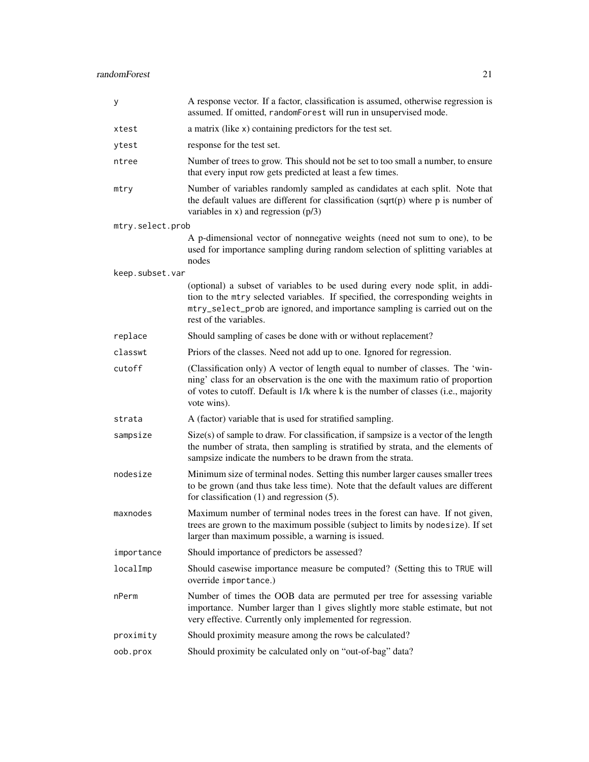| У                | A response vector. If a factor, classification is assumed, otherwise regression is<br>assumed. If omitted, randomForest will run in unsupervised mode.                                                                                                                    |
|------------------|---------------------------------------------------------------------------------------------------------------------------------------------------------------------------------------------------------------------------------------------------------------------------|
| xtest            | a matrix (like x) containing predictors for the test set.                                                                                                                                                                                                                 |
| ytest            | response for the test set.                                                                                                                                                                                                                                                |
| ntree            | Number of trees to grow. This should not be set to too small a number, to ensure<br>that every input row gets predicted at least a few times.                                                                                                                             |
| mtry             | Number of variables randomly sampled as candidates at each split. Note that<br>the default values are different for classification (sqrt(p) where $p$ is number of<br>variables in $x)$ and regression $(p/3)$                                                            |
| mtry.select.prob |                                                                                                                                                                                                                                                                           |
|                  | A p-dimensional vector of nonnegative weights (need not sum to one), to be<br>used for importance sampling during random selection of splitting variables at<br>nodes                                                                                                     |
| keep.subset.var  |                                                                                                                                                                                                                                                                           |
|                  | (optional) a subset of variables to be used during every node split, in addi-<br>tion to the mtry selected variables. If specified, the corresponding weights in<br>mtry_select_prob are ignored, and importance sampling is carried out on the<br>rest of the variables. |
| replace          | Should sampling of cases be done with or without replacement?                                                                                                                                                                                                             |
| classwt          | Priors of the classes. Need not add up to one. Ignored for regression.                                                                                                                                                                                                    |
| cutoff           | (Classification only) A vector of length equal to number of classes. The 'win-<br>ning' class for an observation is the one with the maximum ratio of proportion<br>of votes to cutoff. Default is 1/k where k is the number of classes (i.e., majority<br>vote wins).    |
| strata           | A (factor) variable that is used for stratified sampling.                                                                                                                                                                                                                 |
| sampsize         | $Size(s)$ of sample to draw. For classification, if sampsize is a vector of the length<br>the number of strata, then sampling is stratified by strata, and the elements of<br>sampsize indicate the numbers to be drawn from the strata.                                  |
| nodesize         | Minimum size of terminal nodes. Setting this number larger causes smaller trees<br>to be grown (and thus take less time). Note that the default values are different<br>for classification $(1)$ and regression $(5)$ .                                                   |
| maxnodes         | Maximum number of terminal nodes trees in the forest can have. If not given,<br>trees are grown to the maximum possible (subject to limits by nodesize). If set<br>larger than maximum possible, a warning is issued.                                                     |
| importance       | Should importance of predictors be assessed?                                                                                                                                                                                                                              |
| localImp         | Should casewise importance measure be computed? (Setting this to TRUE will<br>override importance.)                                                                                                                                                                       |
| nPerm            | Number of times the OOB data are permuted per tree for assessing variable<br>importance. Number larger than 1 gives slightly more stable estimate, but not<br>very effective. Currently only implemented for regression.                                                  |
| proximity        | Should proximity measure among the rows be calculated?                                                                                                                                                                                                                    |
| oob.prox         | Should proximity be calculated only on "out-of-bag" data?                                                                                                                                                                                                                 |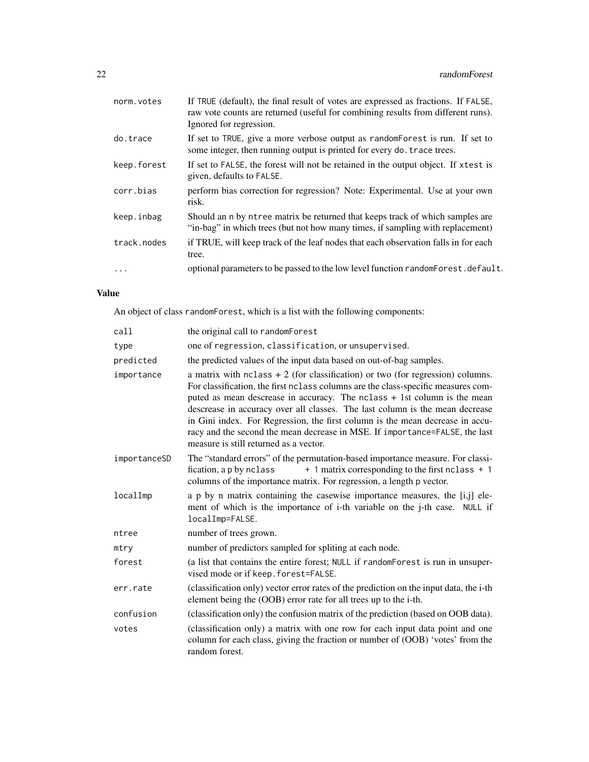| norm.votes  | If TRUE (default), the final result of votes are expressed as fractions. If FALSE,<br>raw vote counts are returned (useful for combining results from different runs).<br>Ignored for regression. |
|-------------|---------------------------------------------------------------------------------------------------------------------------------------------------------------------------------------------------|
| do.trace    | If set to TRUE, give a more verbose output as randomes ortain is run. If set to<br>some integer, then running output is printed for every do. trace trees.                                        |
| keep.forest | If set to FALSE, the forest will not be retained in the output object. If xtest is<br>given, defaults to FALSE.                                                                                   |
| corr.bias   | perform bias correction for regression? Note: Experimental. Use at your own<br>risk.                                                                                                              |
| keep.inbag  | Should an n by ntree matrix be returned that keeps track of which samples are<br>"in-bag" in which trees (but not how many times, if sampling with replacement)                                   |
| track.nodes | if TRUE, will keep track of the leaf nodes that each observation falls in for each<br>tree.                                                                                                       |
| $\cdots$    | optional parameters to be passed to the low level function random Forest. default.                                                                                                                |

## Value

An object of class randomForest, which is a list with the following components:

| call         | the original call to randomForest                                                                                                                                                                                                                                                                                                                                                                                                                                                                                                             |
|--------------|-----------------------------------------------------------------------------------------------------------------------------------------------------------------------------------------------------------------------------------------------------------------------------------------------------------------------------------------------------------------------------------------------------------------------------------------------------------------------------------------------------------------------------------------------|
| type         | one of regression, classification, or unsupervised.                                                                                                                                                                                                                                                                                                                                                                                                                                                                                           |
| predicted    | the predicted values of the input data based on out-of-bag samples.                                                                                                                                                                                                                                                                                                                                                                                                                                                                           |
| importance   | a matrix with $nclass + 2$ (for classification) or two (for regression) columns.<br>For classification, the first nclass columns are the class-specific measures com-<br>puted as mean descrease in accuracy. The $nclass + 1st$ column is the mean<br>descrease in accuracy over all classes. The last column is the mean decrease<br>in Gini index. For Regression, the first column is the mean decrease in accu-<br>racy and the second the mean decrease in MSE. If importance=FALSE, the last<br>measure is still returned as a vector. |
| importanceSD | The "standard errors" of the permutation-based importance measure. For classi-<br>+ 1 matrix corresponding to the first nclass + 1<br>fication, a p by nclass<br>columns of the importance matrix. For regression, a length p vector.                                                                                                                                                                                                                                                                                                         |
| localImp     | a p by n matrix containing the casewise importance measures, the [i,j] ele-<br>ment of which is the importance of i-th variable on the j-th case. NULL if<br>localImp=FALSE.                                                                                                                                                                                                                                                                                                                                                                  |
| ntree        | number of trees grown.                                                                                                                                                                                                                                                                                                                                                                                                                                                                                                                        |
| mtry         | number of predictors sampled for spliting at each node.                                                                                                                                                                                                                                                                                                                                                                                                                                                                                       |
| forest       | (a list that contains the entire forest; NULL if randomForest is run in unsuper-<br>vised mode or if keep. forest=FALSE.                                                                                                                                                                                                                                                                                                                                                                                                                      |
| err.rate     | (classification only) vector error rates of the prediction on the input data, the i-th<br>element being the (OOB) error rate for all trees up to the i-th.                                                                                                                                                                                                                                                                                                                                                                                    |
| confusion    | (classification only) the confusion matrix of the prediction (based on OOB data).                                                                                                                                                                                                                                                                                                                                                                                                                                                             |
| votes        | (classification only) a matrix with one row for each input data point and one<br>column for each class, giving the fraction or number of (OOB) 'votes' from the<br>random forest.                                                                                                                                                                                                                                                                                                                                                             |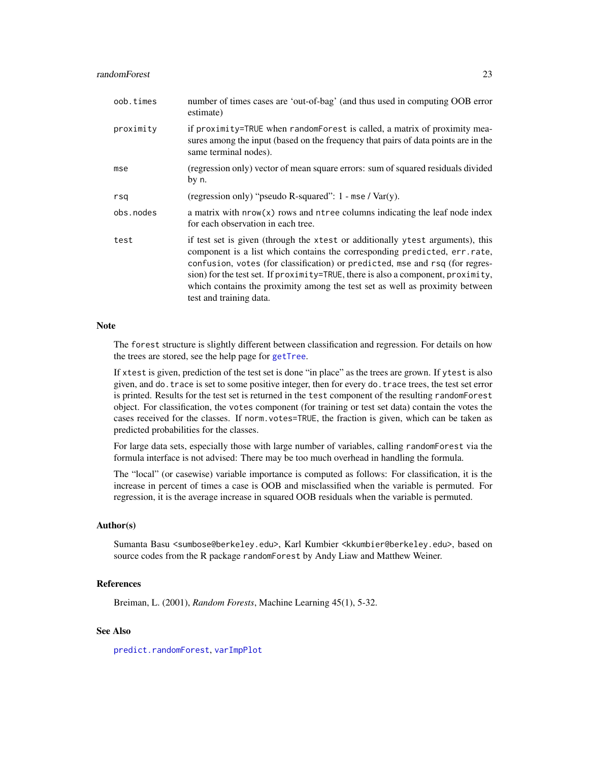## <span id="page-22-0"></span>randomForest 23

| oob.times | number of times cases are 'out-of-bag' (and thus used in computing OOB error<br>estimate)                                                                                                                                                                                                                                                                                                                                                  |
|-----------|--------------------------------------------------------------------------------------------------------------------------------------------------------------------------------------------------------------------------------------------------------------------------------------------------------------------------------------------------------------------------------------------------------------------------------------------|
| proximity | if proximity=TRUE when randomForest is called, a matrix of proximity mea-<br>sures among the input (based on the frequency that pairs of data points are in the<br>same terminal nodes).                                                                                                                                                                                                                                                   |
| mse       | (regression only) vector of mean square errors: sum of squared residuals divided<br>by n.                                                                                                                                                                                                                                                                                                                                                  |
| rsq       | (regression only) "pseudo R-squared": $1 - \text{mse} / \text{Var}(y)$ .                                                                                                                                                                                                                                                                                                                                                                   |
| obs.nodes | a matrix with $nrow(x)$ rows and $ntree$ columns indicating the leaf node index<br>for each observation in each tree.                                                                                                                                                                                                                                                                                                                      |
| test      | if test set is given (through the xtest or additionally ytest arguments), this<br>component is a list which contains the corresponding predicted, err.rate,<br>confusion, votes (for classification) or predicted, mse and rsq (for regres-<br>sion) for the test set. If proximity=TRUE, there is also a component, proximity,<br>which contains the proximity among the test set as well as proximity between<br>test and training data. |

#### Note

The forest structure is slightly different between classification and regression. For details on how the trees are stored, see the help page for [getTree](#page-3-1).

If xtest is given, prediction of the test set is done "in place" as the trees are grown. If ytest is also given, and do.trace is set to some positive integer, then for every do.trace trees, the test set error is printed. Results for the test set is returned in the test component of the resulting randomForest object. For classification, the votes component (for training or test set data) contain the votes the cases received for the classes. If norm.votes=TRUE, the fraction is given, which can be taken as predicted probabilities for the classes.

For large data sets, especially those with large number of variables, calling randomForest via the formula interface is not advised: There may be too much overhead in handling the formula.

The "local" (or casewise) variable importance is computed as follows: For classification, it is the increase in percent of times a case is OOB and misclassified when the variable is permuted. For regression, it is the average increase in squared OOB residuals when the variable is permuted.

#### Author(s)

Sumanta Basu <sumbose@berkeley.edu>, Karl Kumbier <kkumbier@berkeley.edu>, based on source codes from the R package randomForest by Andy Liaw and Matthew Weiner.

#### References

Breiman, L. (2001), *Random Forests*, Machine Learning 45(1), 5-32.

## See Also

[predict.randomForest](#page-17-1), [varImpPlot](#page-32-1)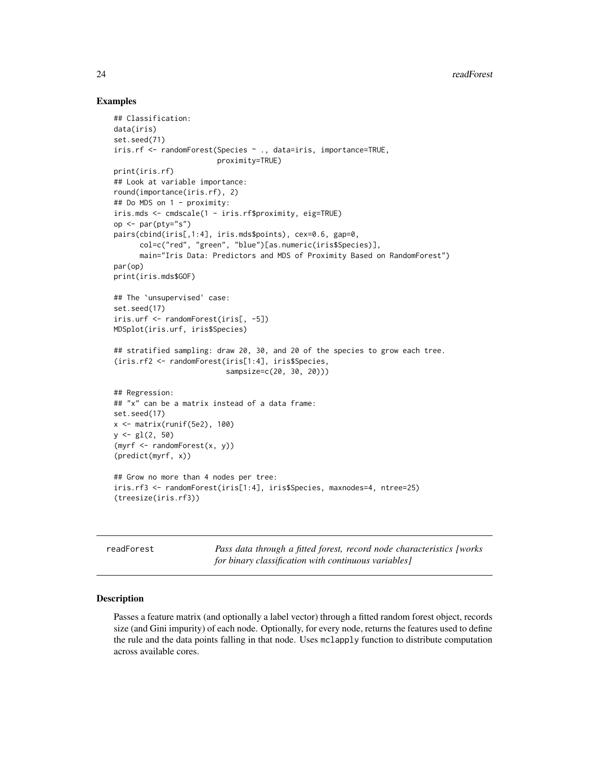## Examples

```
## Classification:
data(iris)
set.seed(71)
iris.rf <- randomForest(Species ~ ., data=iris, importance=TRUE,
                        proximity=TRUE)
print(iris.rf)
## Look at variable importance:
round(importance(iris.rf), 2)
## Do MDS on 1 - proximity:
iris.mds <- cmdscale(1 - iris.rf$proximity, eig=TRUE)
op <- par(pty="s")
pairs(cbind(iris[,1:4], iris.mds$points), cex=0.6, gap=0,
      col=c("red", "green", "blue")[as.numeric(iris$Species)],
      main="Iris Data: Predictors and MDS of Proximity Based on RandomForest")
par(op)
print(iris.mds$GOF)
## The `unsupervised' case:
set.seed(17)
iris.urf <- randomForest(iris[, -5])
MDSplot(iris.urf, iris$Species)
## stratified sampling: draw 20, 30, and 20 of the species to grow each tree.
(iris.rf2 <- randomForest(iris[1:4], iris$Species,
                          sampsize=c(20, 30, 20)))
## Regression:
## "x" can be a matrix instead of a data frame:
set.seed(17)
x <- matrix(runif(5e2), 100)
y \leftarrow gl(2, 50)(myrf <- randomForest(x, y))
(predict(myrf, x))
## Grow no more than 4 nodes per tree:
iris.rf3 <- randomForest(iris[1:4], iris$Species, maxnodes=4, ntree=25)
(treesize(iris.rf3))
```
readForest *Pass data through a fitted forest, record node characteristics [works for binary classification with continuous variables]*

#### Description

Passes a feature matrix (and optionally a label vector) through a fitted random forest object, records size (and Gini impurity) of each node. Optionally, for every node, returns the features used to define the rule and the data points falling in that node. Uses mclapply function to distribute computation across available cores.

<span id="page-23-0"></span>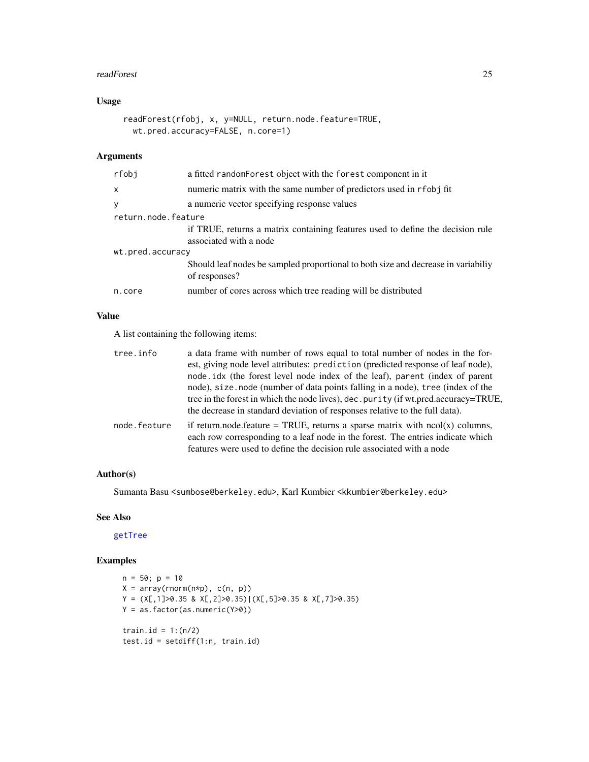#### <span id="page-24-0"></span>readForest 25

## Usage

```
readForest(rfobj, x, y=NULL, return.node.feature=TRUE,
 wt.pred.accuracy=FALSE, n.core=1)
```
## Arguments

| rfobj               | a fitted randomForest object with the forest component in it                                             |  |
|---------------------|----------------------------------------------------------------------------------------------------------|--|
| X                   | numeric matrix with the same number of predictors used in rfobj fit                                      |  |
| y                   | a numeric vector specifying response values                                                              |  |
| return.node.feature |                                                                                                          |  |
|                     | if TRUE, returns a matrix containing features used to define the decision rule<br>associated with a node |  |
| wt.pred.accuracy    |                                                                                                          |  |
|                     | Should leaf nodes be sampled proportional to both size and decrease in variabiliy<br>of responses?       |  |
| n.core              | number of cores across which tree reading will be distributed                                            |  |

## Value

A list containing the following items:

| tree.info    | a data frame with number of rows equal to total number of nodes in the for-<br>est, giving node level attributes: prediction (predicted response of leaf node),<br>node .idx (the forest level node index of the leaf), parent (index of parent<br>node), size node (number of data points falling in a node), tree (index of the<br>tree in the forest in which the node lives), dec. purity (if wt.pred.accuracy=TRUE,<br>the decrease in standard deviation of responses relative to the full data). |
|--------------|---------------------------------------------------------------------------------------------------------------------------------------------------------------------------------------------------------------------------------------------------------------------------------------------------------------------------------------------------------------------------------------------------------------------------------------------------------------------------------------------------------|
| node.feature | if return.node.feature = TRUE, returns a sparse matrix with $ncol(x)$ columns,<br>each row corresponding to a leaf node in the forest. The entries indicate which<br>features were used to define the decision rule associated with a node                                                                                                                                                                                                                                                              |

## Author(s)

Sumanta Basu <sumbose@berkeley.edu>, Karl Kumbier <kkumbier@berkeley.edu>

## See Also

## [getTree](#page-3-1)

```
n = 50; p = 10X = array(rnorm(n*p), c(n, p))Y = (X[, 1] > 0.35 \& X[, 2] > 0.35 ((X[, 5] > 0.35 \& X[, 7] > 0.35)Y = as.factor(as.numeric(Y>0))
train.id = 1:(n/2)test.id = setdiff(1:n, train.id)
```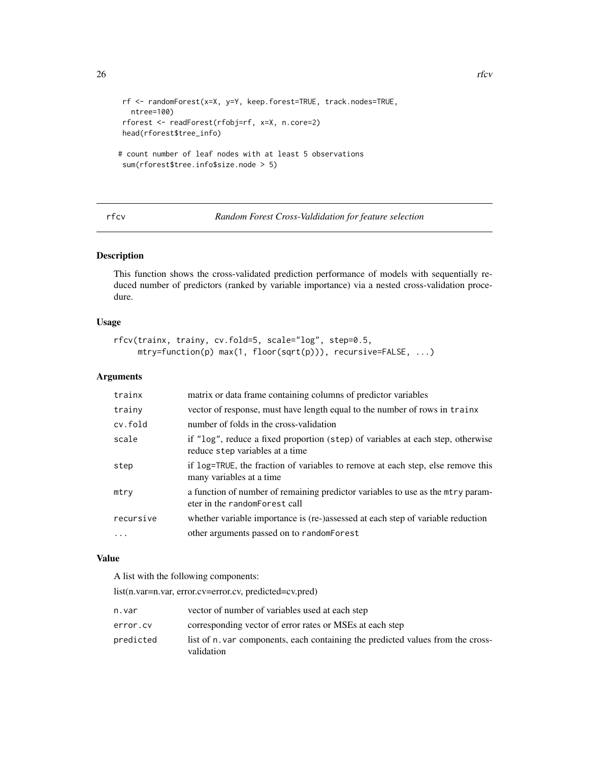```
rf <- randomForest(x=X, y=Y, keep.forest=TRUE, track.nodes=TRUE,
  ntree=100)
 rforest <- readForest(rfobj=rf, x=X, n.core=2)
 head(rforest$tree_info)
# count number of leaf nodes with at least 5 observations
 sum(rforest$tree.info$size.node > 5)
```
rfcv *Random Forest Cross-Valdidation for feature selection*

## Description

This function shows the cross-validated prediction performance of models with sequentially reduced number of predictors (ranked by variable importance) via a nested cross-validation procedure.

## Usage

```
rfcv(trainx, trainy, cv.fold=5, scale="log", step=0.5,
     mtry=function(p) max(1, floor(sqrt(p))), recursive=FALSE, ...)
```
## Arguments

| trainx    | matrix or data frame containing columns of predictor variables                                                     |
|-----------|--------------------------------------------------------------------------------------------------------------------|
| trainy    | vector of response, must have length equal to the number of rows in trainx                                         |
| cv.fold   | number of folds in the cross-validation                                                                            |
| scale     | if "log", reduce a fixed proportion (step) of variables at each step, otherwise<br>reduce step variables at a time |
| step      | if log=TRUE, the fraction of variables to remove at each step, else remove this<br>many variables at a time        |
| mtry      | a function of number of remaining predictor variables to use as the mtry param-<br>eter in the randomForest call   |
| recursive | whether variable importance is (re-)assessed at each step of variable reduction                                    |
| $\cdots$  | other arguments passed on to randomForest                                                                          |

## Value

A list with the following components:

list(n.var=n.var, error.cv=error.cv, predicted=cv.pred)

| n.var     | vector of number of variables used at each step                                               |
|-----------|-----------------------------------------------------------------------------------------------|
| error.cv  | corresponding vector of error rates or MSEs at each step                                      |
| predicted | list of n, var components, each containing the predicted values from the cross-<br>validation |

<span id="page-25-0"></span>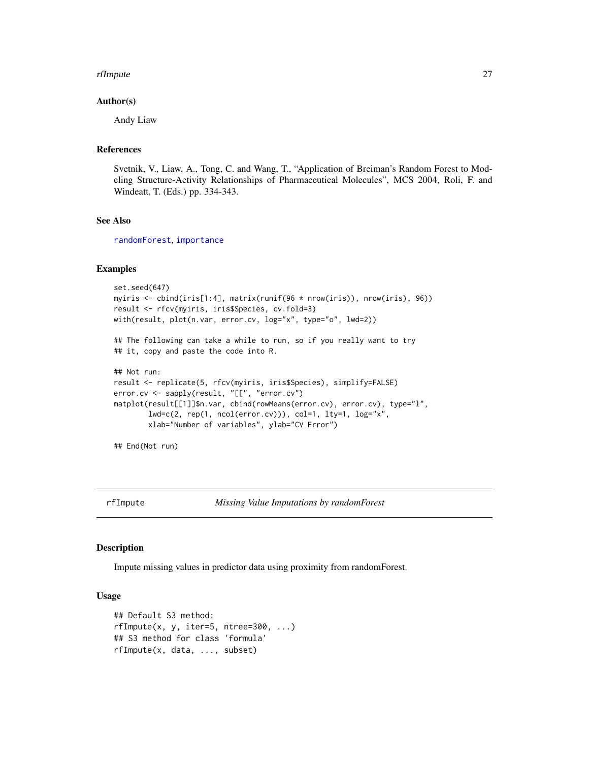#### <span id="page-26-0"></span>rfImpute 27

#### Author(s)

Andy Liaw

## References

Svetnik, V., Liaw, A., Tong, C. and Wang, T., "Application of Breiman's Random Forest to Modeling Structure-Activity Relationships of Pharmaceutical Molecules", MCS 2004, Roli, F. and Windeatt, T. (Eds.) pp. 334-343.

### See Also

[randomForest](#page-19-1), [importance](#page-5-1)

## Examples

```
set.seed(647)
myiris <- cbind(iris[1:4], matrix(runif(96 * nrow(iris)), nrow(iris), 96))
result <- rfcv(myiris, iris$Species, cv.fold=3)
with(result, plot(n.var, error.cv, log="x", type="o", lwd=2))
## The following can take a while to run, so if you really want to try
## it, copy and paste the code into R.
## Not run:
result <- replicate(5, rfcv(myiris, iris$Species), simplify=FALSE)
error.cv <- sapply(result, "[[", "error.cv")
matplot(result[[1]]$n.var, cbind(rowMeans(error.cv), error.cv), type="l",
        lwd=c(2, rep(1, ncol(error.cv))), col=1, lty=1, log="x",
        xlab="Number of variables", ylab="CV Error")
```
## End(Not run)

<span id="page-26-1"></span>rfImpute *Missing Value Imputations by randomForest*

#### Description

Impute missing values in predictor data using proximity from randomForest.

#### Usage

```
## Default S3 method:
rfImpute(x, y, iter=5, ntree=300, ...)## S3 method for class 'formula'
rfImpute(x, data, ..., subset)
```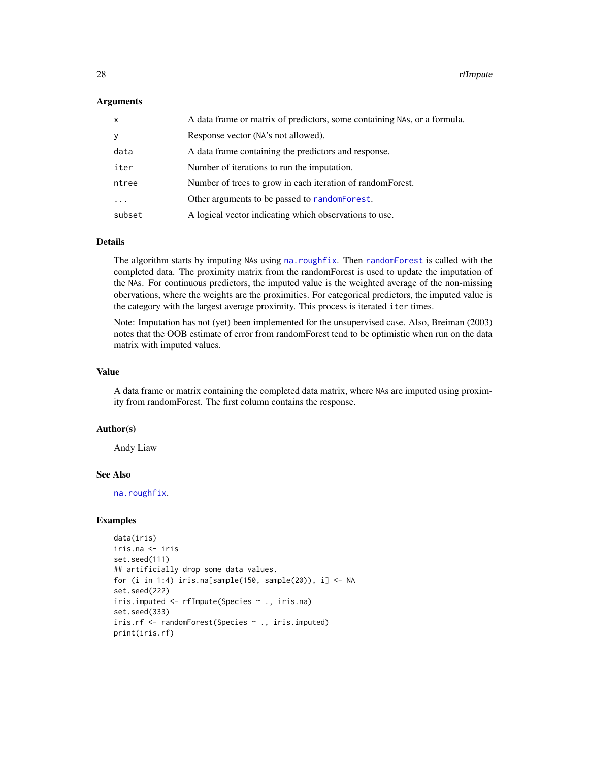#### <span id="page-27-0"></span>Arguments

| $\mathsf{x}$ | A data frame or matrix of predictors, some containing NAs, or a formula. |
|--------------|--------------------------------------------------------------------------|
| y            | Response vector (NA's not allowed).                                      |
| data         | A data frame containing the predictors and response.                     |
| iter         | Number of iterations to run the imputation.                              |
| ntree        | Number of trees to grow in each iteration of random Forest.              |
|              | Other arguments to be passed to random Forest.                           |
| subset       | A logical vector indicating which observations to use.                   |

#### Details

The algorithm starts by imputing NAs using [na.roughfix](#page-11-1). Then [randomForest](#page-19-1) is called with the completed data. The proximity matrix from the randomForest is used to update the imputation of the NAs. For continuous predictors, the imputed value is the weighted average of the non-missing obervations, where the weights are the proximities. For categorical predictors, the imputed value is the category with the largest average proximity. This process is iterated iter times.

Note: Imputation has not (yet) been implemented for the unsupervised case. Also, Breiman (2003) notes that the OOB estimate of error from randomForest tend to be optimistic when run on the data matrix with imputed values.

#### Value

A data frame or matrix containing the completed data matrix, where NAs are imputed using proximity from randomForest. The first column contains the response.

#### Author(s)

Andy Liaw

#### See Also

[na.roughfix](#page-11-1).

```
data(iris)
iris.na <- iris
set.seed(111)
## artificially drop some data values.
for (i in 1:4) iris.na[sample(150, sample(20)), i] <- NA
set.seed(222)
iris.imputed <- rfImpute(Species ~ ., iris.na)
set.seed(333)
iris.rf <- randomForest(Species ~ ., iris.imputed)
print(iris.rf)
```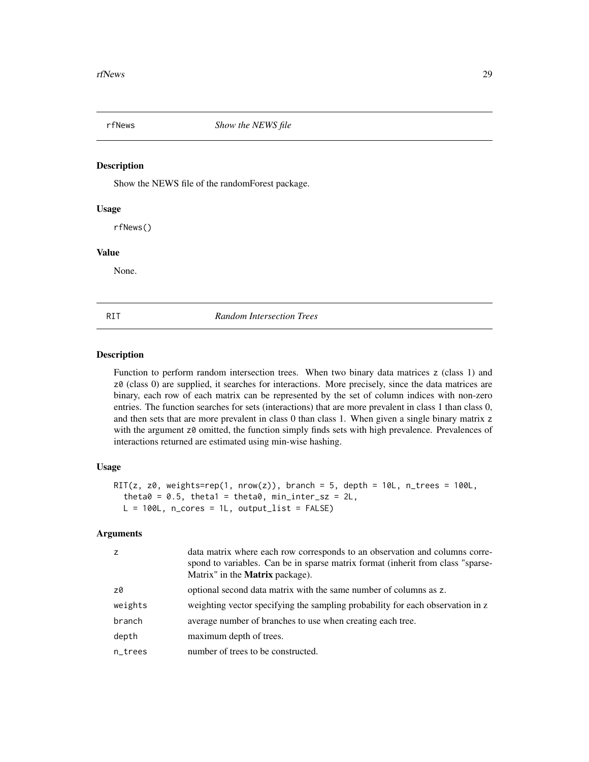<span id="page-28-0"></span>

#### Description

Show the NEWS file of the randomForest package.

#### Usage

rfNews()

## Value

None.

### RIT *Random Intersection Trees*

## Description

Function to perform random intersection trees. When two binary data matrices z (class 1) and z0 (class 0) are supplied, it searches for interactions. More precisely, since the data matrices are binary, each row of each matrix can be represented by the set of column indices with non-zero entries. The function searches for sets (interactions) that are more prevalent in class 1 than class 0, and then sets that are more prevalent in class 0 than class 1. When given a single binary matrix z with the argument z0 omitted, the function simply finds sets with high prevalence. Prevalences of interactions returned are estimated using min-wise hashing.

#### Usage

```
RIT(z, z0, weights=rep(1, nrow(z)), branch = 5, depth = 10L, n_trees = 100L,
  theta0 = 0.5, theta1 = theta0, min\_inter\_sz = 2L,
  L = 100L, n_cores = 1L, output_list = FALSE)
```

| z       | data matrix where each row corresponds to an observation and columns corre-<br>spond to variables. Can be in sparse matrix format (inherit from class "sparse-<br>Matrix" in the <b>Matrix</b> package). |
|---------|----------------------------------------------------------------------------------------------------------------------------------------------------------------------------------------------------------|
| z0      | optional second data matrix with the same number of columns as z.                                                                                                                                        |
| weights | weighting vector specifying the sampling probability for each observation in z                                                                                                                           |
| branch  | average number of branches to use when creating each tree.                                                                                                                                               |
| depth   | maximum depth of trees.                                                                                                                                                                                  |
| n_trees | number of trees to be constructed.                                                                                                                                                                       |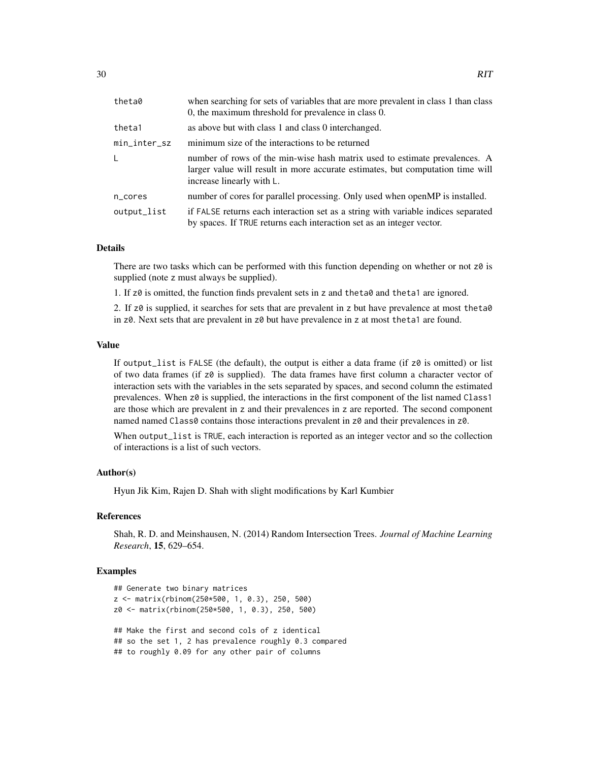| theta0       | when searching for sets of variables that are more prevalent in class 1 than class<br>0, the maximum threshold for prevalence in class 0.                                                 |
|--------------|-------------------------------------------------------------------------------------------------------------------------------------------------------------------------------------------|
| theta1       | as above but with class 1 and class 0 interchanged.                                                                                                                                       |
| min_inter_sz | minimum size of the interactions to be returned                                                                                                                                           |
| L            | number of rows of the min-wise hash matrix used to estimate prevalences. A<br>larger value will result in more accurate estimates, but computation time will<br>increase linearly with L. |
| n_cores      | number of cores for parallel processing. Only used when openMP is installed.                                                                                                              |
| output_list  | if FALSE returns each interaction set as a string with variable indices separated<br>by spaces. If TRUE returns each interaction set as an integer vector.                                |

## Details

There are two tasks which can be performed with this function depending on whether or not  $z\theta$  is supplied (note z must always be supplied).

1. If z0 is omitted, the function finds prevalent sets in z and theta0 and theta1 are ignored.

2. If z0 is supplied, it searches for sets that are prevalent in z but have prevalence at most theta0 in z0. Next sets that are prevalent in z0 but have prevalence in z at most theta1 are found.

#### Value

If output\_list is FALSE (the default), the output is either a data frame (if  $z0$  is omitted) or list of two data frames (if z0 is supplied). The data frames have first column a character vector of interaction sets with the variables in the sets separated by spaces, and second column the estimated prevalences. When z0 is supplied, the interactions in the first component of the list named Class1 are those which are prevalent in z and their prevalences in z are reported. The second component named named Class0 contains those interactions prevalent in  $z0$  and their prevalences in  $z0$ .

When output\_list is TRUE, each interaction is reported as an integer vector and so the collection of interactions is a list of such vectors.

#### Author(s)

Hyun Jik Kim, Rajen D. Shah with slight modifications by Karl Kumbier

#### References

Shah, R. D. and Meinshausen, N. (2014) Random Intersection Trees. *Journal of Machine Learning Research*, 15, 629–654.

```
## Generate two binary matrices
z <- matrix(rbinom(250*500, 1, 0.3), 250, 500)
z0 <- matrix(rbinom(250*500, 1, 0.3), 250, 500)
## Make the first and second cols of z identical
## so the set 1, 2 has prevalence roughly 0.3 compared
## to roughly 0.09 for any other pair of columns
```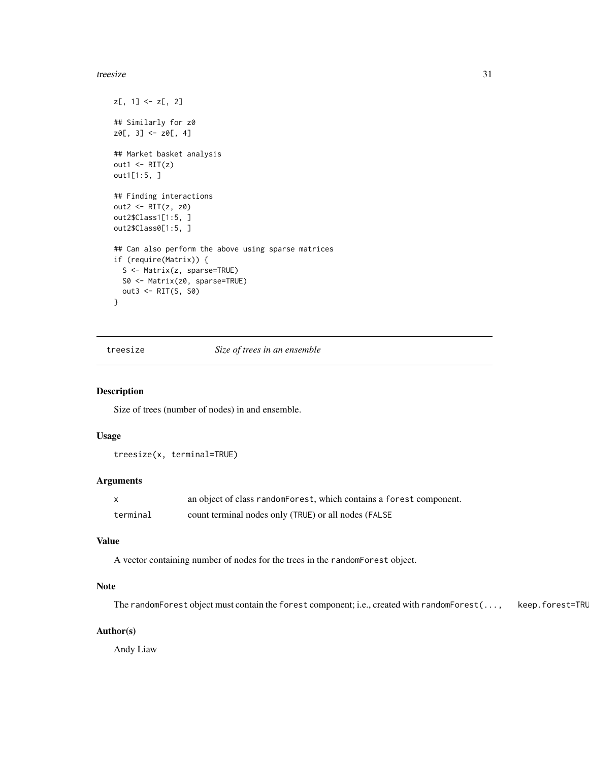#### <span id="page-30-0"></span>treesize 31

```
z[, 1] <- z[, 2]## Similarly for z0
z0[, 3] < -z0[, 4]## Market basket analysis
out1 \leftarrow RIT(z)
out1[1:5, ]
## Finding interactions
out2 <- RIT(z, z0)
out2$Class1[1:5, ]
out2$Class0[1:5, ]
## Can also perform the above using sparse matrices
if (require(Matrix)) {
  S <- Matrix(z, sparse=TRUE)
  S0 <- Matrix(z0, sparse=TRUE)
 out3 <- RIT(S, S0)
}
```
treesize *Size of trees in an ensemble*

## Description

Size of trees (number of nodes) in and ensemble.

#### Usage

```
treesize(x, terminal=TRUE)
```
## Arguments

| X        | an object of class random Forest, which contains a forest component. |
|----------|----------------------------------------------------------------------|
| terminal | count terminal nodes only (TRUE) or all nodes (FALSE                 |

## Value

A vector containing number of nodes for the trees in the randomForest object.

## Note

The randomForest object must contain the forest component; i.e., created with randomForest(..., keep.forest=TRU

## Author(s)

Andy Liaw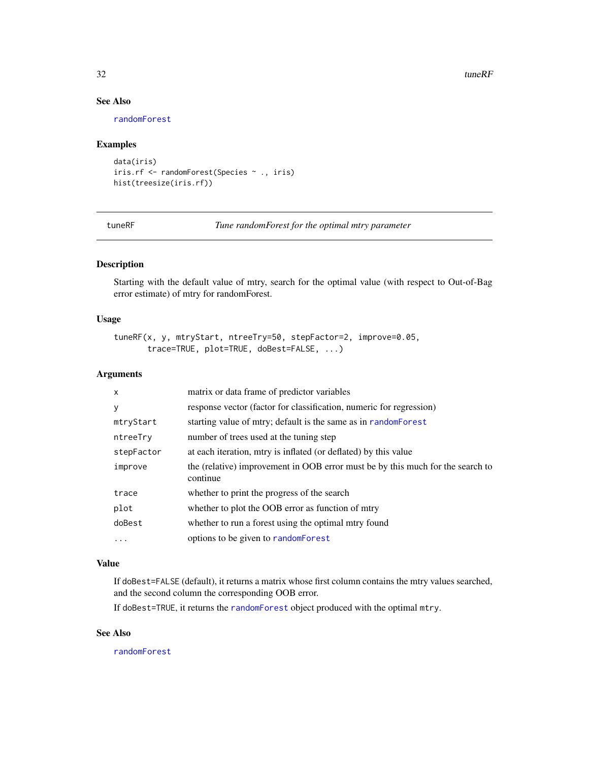$32$  tuneRF

## See Also

[randomForest](#page-19-1)

## Examples

```
data(iris)
iris.rf <- randomForest(Species ~ ., iris)
hist(treesize(iris.rf))
```
tuneRF *Tune randomForest for the optimal mtry parameter*

## Description

Starting with the default value of mtry, search for the optimal value (with respect to Out-of-Bag error estimate) of mtry for randomForest.

## Usage

```
tuneRF(x, y, mtryStart, ntreeTry=50, stepFactor=2, improve=0.05,
       trace=TRUE, plot=TRUE, doBest=FALSE, ...)
```
## Arguments

| $\mathsf{x}$ | matrix or data frame of predictor variables                                                |
|--------------|--------------------------------------------------------------------------------------------|
| y            | response vector (factor for classification, numeric for regression)                        |
| mtryStart    | starting value of mtry; default is the same as in random Forest                            |
| ntreeTry     | number of trees used at the tuning step                                                    |
| stepFactor   | at each iteration, mtry is inflated (or deflated) by this value                            |
| improve      | the (relative) improvement in OOB error must be by this much for the search to<br>continue |
| trace        | whether to print the progress of the search                                                |
| plot         | whether to plot the OOB error as function of mtry                                          |
| doBest       | whether to run a forest using the optimal mtry found                                       |
| .            | options to be given to random Forest                                                       |

#### Value

If doBest=FALSE (default), it returns a matrix whose first column contains the mtry values searched, and the second column the corresponding OOB error.

If doBest=TRUE, it returns the [randomForest](#page-19-1) object produced with the optimal mtry.

## See Also

[randomForest](#page-19-1)

<span id="page-31-0"></span>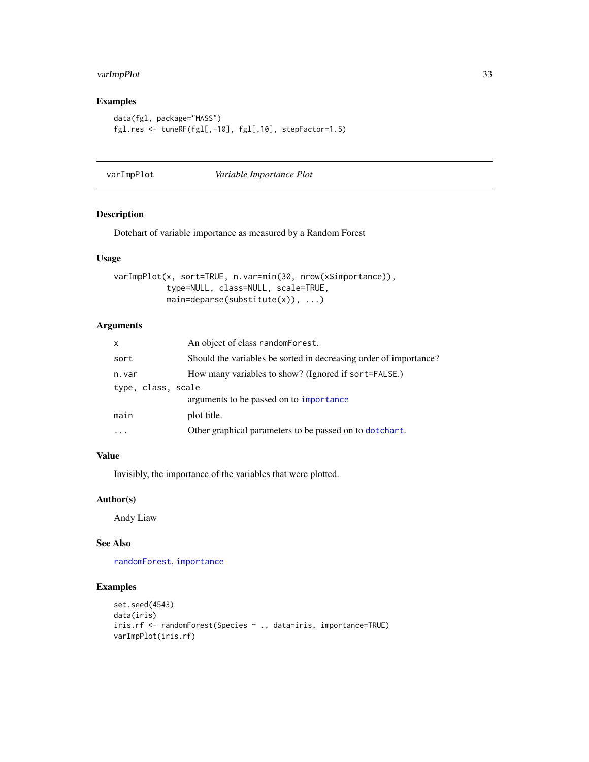## <span id="page-32-0"></span>varImpPlot 33

## Examples

```
data(fgl, package="MASS")
fgl.res <- tuneRF(fgl[,-10], fgl[,10], stepFactor=1.5)
```
<span id="page-32-1"></span>varImpPlot *Variable Importance Plot*

## Description

Dotchart of variable importance as measured by a Random Forest

#### Usage

```
varImpPlot(x, sort=TRUE, n.var=min(30, nrow(x$importance)),
           type=NULL, class=NULL, scale=TRUE,
          main=deparse(substitute(x)), ...)
```
## Arguments

| $\mathsf{x}$       | An object of class randomForest.                                  |
|--------------------|-------------------------------------------------------------------|
| sort               | Should the variables be sorted in decreasing order of importance? |
| n.var              | How many variables to show? (Ignored if sort=FALSE.)              |
| type, class, scale |                                                                   |
|                    | arguments to be passed on to importance                           |
| main               | plot title.                                                       |
|                    | Other graphical parameters to be passed on to dotchart.           |

## Value

Invisibly, the importance of the variables that were plotted.

#### Author(s)

Andy Liaw

## See Also

[randomForest](#page-19-1), [importance](#page-5-1)

```
set.seed(4543)
data(iris)
iris.rf <- randomForest(Species ~ ., data=iris, importance=TRUE)
varImpPlot(iris.rf)
```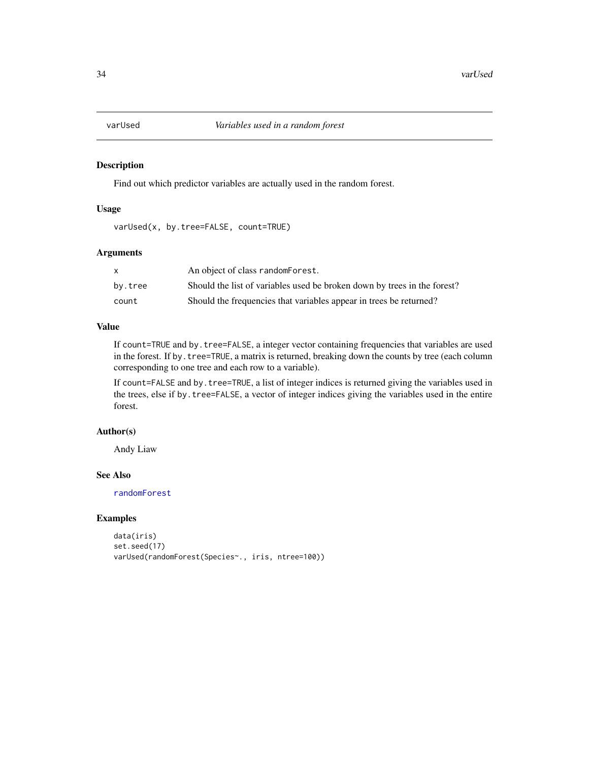<span id="page-33-0"></span>

## Description

Find out which predictor variables are actually used in the random forest.

## Usage

varUsed(x, by.tree=FALSE, count=TRUE)

## Arguments

|         | An object of class random Forest.                                        |
|---------|--------------------------------------------------------------------------|
| by.tree | Should the list of variables used be broken down by trees in the forest? |
| count   | Should the frequencies that variables appear in trees be returned?       |

## Value

If count=TRUE and by.tree=FALSE, a integer vector containing frequencies that variables are used in the forest. If by.tree=TRUE, a matrix is returned, breaking down the counts by tree (each column corresponding to one tree and each row to a variable).

If count=FALSE and by.tree=TRUE, a list of integer indices is returned giving the variables used in the trees, else if by.tree=FALSE, a vector of integer indices giving the variables used in the entire forest.

#### Author(s)

Andy Liaw

## See Also

[randomForest](#page-19-1)

```
data(iris)
set.seed(17)
varUsed(randomForest(Species~., iris, ntree=100))
```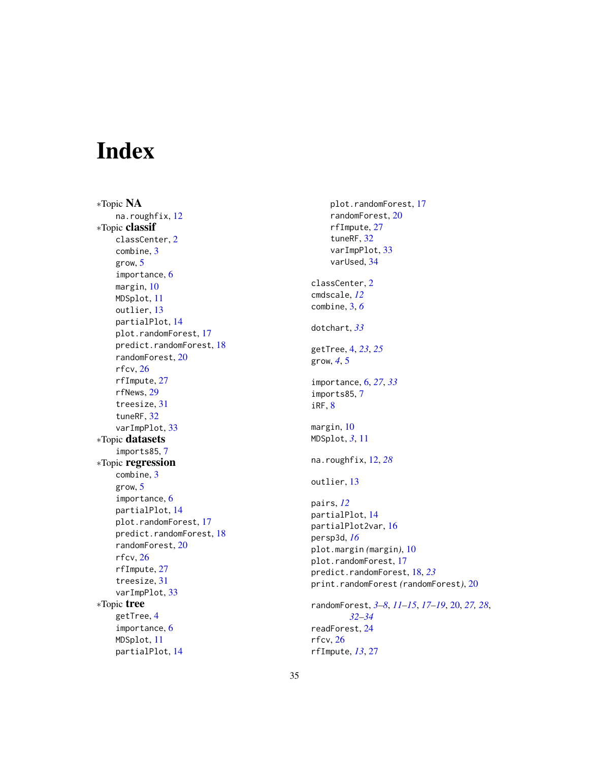# <span id="page-34-0"></span>Index

∗Topic NA na.roughfix, [12](#page-11-0) ∗Topic classif classCenter, [2](#page-1-0) combine, [3](#page-2-0) grow, [5](#page-4-0) importance, [6](#page-5-0) margin, [10](#page-9-0) MDSplot, [11](#page-10-0) outlier, [13](#page-12-0) partialPlot, [14](#page-13-0) plot.randomForest, [17](#page-16-0) predict.randomForest, [18](#page-17-0) randomForest, [20](#page-19-0) rfcv, [26](#page-25-0) rfImpute, [27](#page-26-0) rfNews, [29](#page-28-0) treesize, [31](#page-30-0) tuneRF, [32](#page-31-0) varImpPlot, [33](#page-32-0) ∗Topic datasets imports85, [7](#page-6-0) ∗Topic regression combine, [3](#page-2-0) grow, [5](#page-4-0) importance, [6](#page-5-0) partialPlot, [14](#page-13-0) plot.randomForest, [17](#page-16-0) predict.randomForest, [18](#page-17-0) randomForest, [20](#page-19-0) rfcv, [26](#page-25-0) rfImpute, [27](#page-26-0) treesize, [31](#page-30-0) varImpPlot, [33](#page-32-0) ∗Topic tree getTree, [4](#page-3-0) importance, [6](#page-5-0) MDSplot, [11](#page-10-0) partialPlot, [14](#page-13-0)

plot.randomForest, [17](#page-16-0) randomForest, [20](#page-19-0) rfImpute, [27](#page-26-0) tuneRF, [32](#page-31-0) varImpPlot, [33](#page-32-0) varUsed, [34](#page-33-0) classCenter, [2](#page-1-0) cmdscale, *[12](#page-11-0)* combine, [3,](#page-2-0) *[6](#page-5-0)* dotchart, *[33](#page-32-0)* getTree, [4,](#page-3-0) *[23](#page-22-0)*, *[25](#page-24-0)* grow, *[4](#page-3-0)*, [5](#page-4-0) importance, [6,](#page-5-0) *[27](#page-26-0)*, *[33](#page-32-0)* imports85, [7](#page-6-0) iRF, [8](#page-7-0) margin, [10](#page-9-0) MDSplot, *[3](#page-2-0)*, [11](#page-10-0) na.roughfix, [12,](#page-11-0) *[28](#page-27-0)* outlier, [13](#page-12-0) pairs, *[12](#page-11-0)* partialPlot, [14](#page-13-0) partialPlot2var, [16](#page-15-0) persp3d, *[16](#page-15-0)* plot.margin *(*margin*)*, [10](#page-9-0) plot.randomForest, [17](#page-16-0) predict.randomForest, [18,](#page-17-0) *[23](#page-22-0)* print.randomForest *(*randomForest*)*, [20](#page-19-0) randomForest, *[3](#page-2-0)[–8](#page-7-0)*, *[11](#page-10-0)[–15](#page-14-0)*, *[17](#page-16-0)[–19](#page-18-0)*, [20,](#page-19-0) *[27,](#page-26-0) [28](#page-27-0)*, *[32](#page-31-0)[–34](#page-33-0)* readForest, [24](#page-23-0) rfcv, [26](#page-25-0) rfImpute, *[13](#page-12-0)*, [27](#page-26-0)